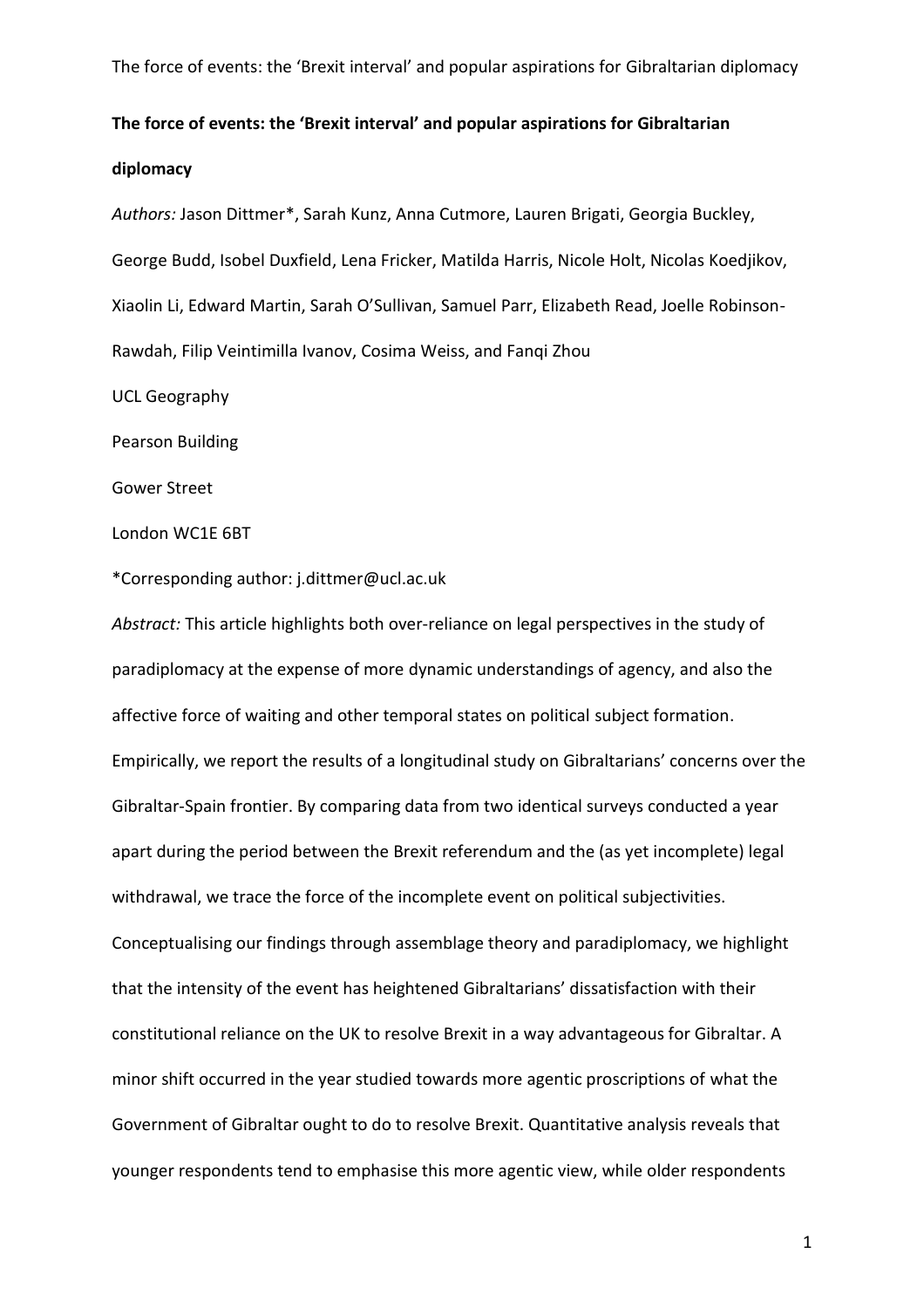# **The force of events: the 'Brexit interval' and popular aspirations for Gibraltarian diplomacy**

*Authors:* Jason Dittmer\*, Sarah Kunz, Anna Cutmore, Lauren Brigati, Georgia Buckley, George Budd, Isobel Duxfield, Lena Fricker, Matilda Harris, Nicole Holt, Nicolas Koedjikov, Xiaolin Li, Edward Martin, Sarah O'Sullivan, Samuel Parr, Elizabeth Read, Joelle Robinson-Rawdah, Filip Veintimilla Ivanov, Cosima Weiss, and Fanqi Zhou

UCL Geography

Pearson Building

Gower Street

London WC1E 6BT

\*Corresponding author: j.dittmer@ucl.ac.uk

*Abstract:* This article highlights both over-reliance on legal perspectives in the study of paradiplomacy at the expense of more dynamic understandings of agency, and also the affective force of waiting and other temporal states on political subject formation. Empirically, we report the results of a longitudinal study on Gibraltarians' concerns over the Gibraltar-Spain frontier. By comparing data from two identical surveys conducted a year apart during the period between the Brexit referendum and the (as yet incomplete) legal withdrawal, we trace the force of the incomplete event on political subjectivities. Conceptualising our findings through assemblage theory and paradiplomacy, we highlight that the intensity of the event has heightened Gibraltarians' dissatisfaction with their constitutional reliance on the UK to resolve Brexit in a way advantageous for Gibraltar. A minor shift occurred in the year studied towards more agentic proscriptions of what the Government of Gibraltar ought to do to resolve Brexit. Quantitative analysis reveals that younger respondents tend to emphasise this more agentic view, while older respondents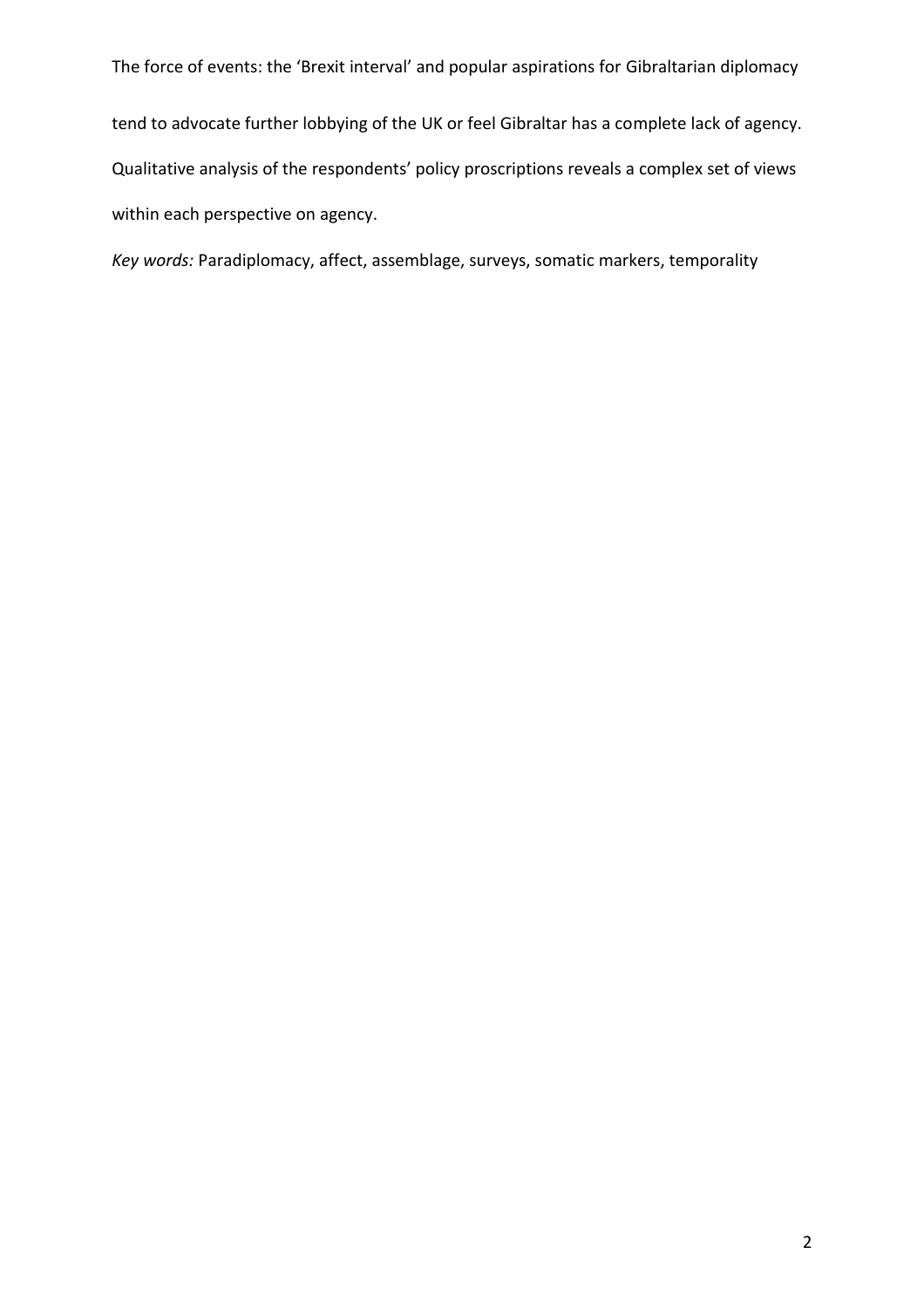tend to advocate further lobbying of the UK or feel Gibraltar has a complete lack of agency. Qualitative analysis of the respondents' policy proscriptions reveals a complex set of views within each perspective on agency.

*Key words:* Paradiplomacy, affect, assemblage, surveys, somatic markers, temporality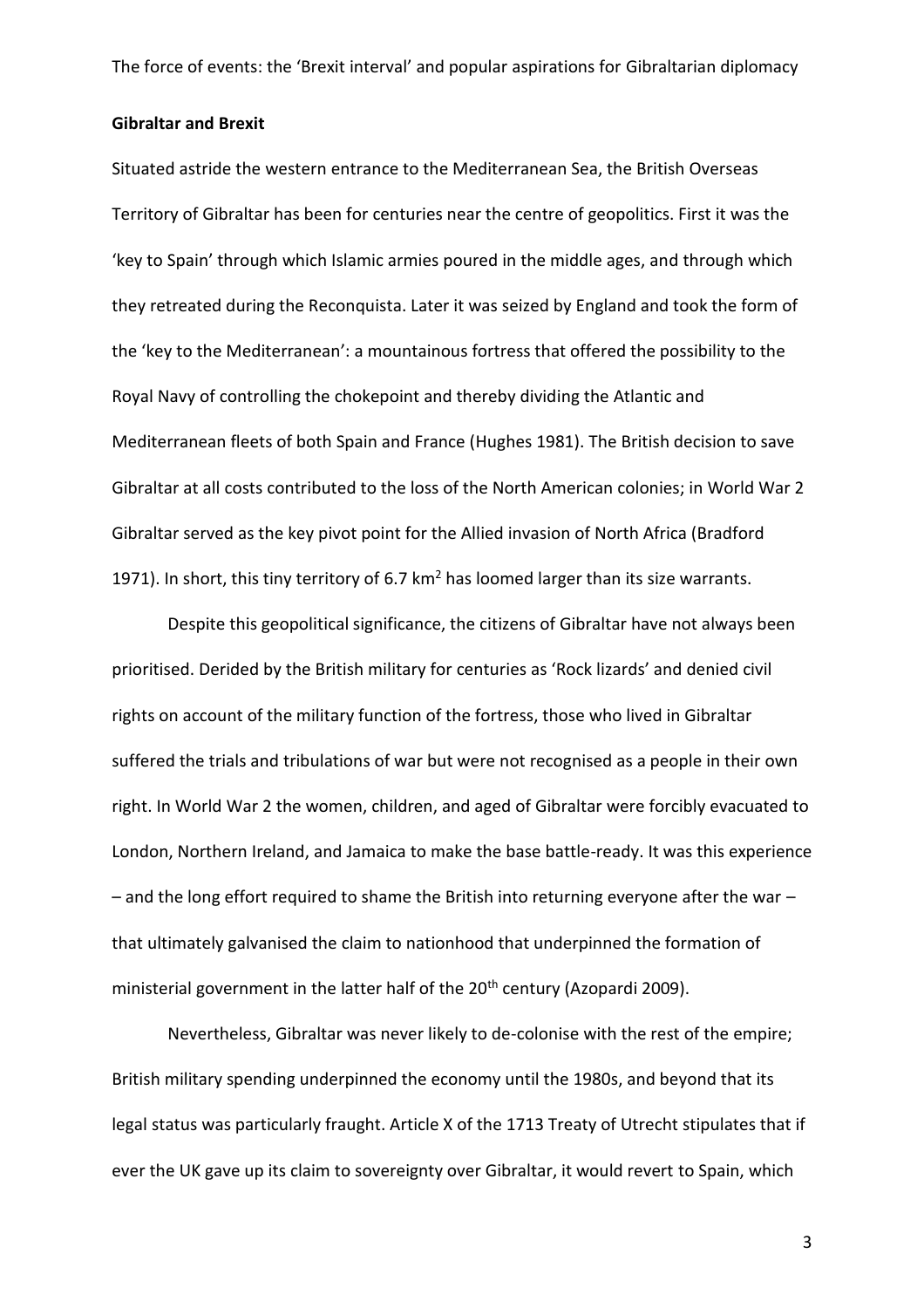# **Gibraltar and Brexit**

Situated astride the western entrance to the Mediterranean Sea, the British Overseas Territory of Gibraltar has been for centuries near the centre of geopolitics. First it was the 'key to Spain' through which Islamic armies poured in the middle ages, and through which they retreated during the Reconquista. Later it was seized by England and took the form of the 'key to the Mediterranean': a mountainous fortress that offered the possibility to the Royal Navy of controlling the chokepoint and thereby dividing the Atlantic and Mediterranean fleets of both Spain and France (Hughes 1981). The British decision to save Gibraltar at all costs contributed to the loss of the North American colonies; in World War 2 Gibraltar served as the key pivot point for the Allied invasion of North Africa (Bradford 1971). In short, this tiny territory of 6.7  $km<sup>2</sup>$  has loomed larger than its size warrants.

Despite this geopolitical significance, the citizens of Gibraltar have not always been prioritised. Derided by the British military for centuries as 'Rock lizards' and denied civil rights on account of the military function of the fortress, those who lived in Gibraltar suffered the trials and tribulations of war but were not recognised as a people in their own right. In World War 2 the women, children, and aged of Gibraltar were forcibly evacuated to London, Northern Ireland, and Jamaica to make the base battle-ready. It was this experience  $-$  and the long effort required to shame the British into returning everyone after the war  $$ that ultimately galvanised the claim to nationhood that underpinned the formation of ministerial government in the latter half of the 20<sup>th</sup> century (Azopardi 2009).

Nevertheless, Gibraltar was never likely to de-colonise with the rest of the empire; British military spending underpinned the economy until the 1980s, and beyond that its legal status was particularly fraught. Article X of the 1713 Treaty of Utrecht stipulates that if ever the UK gave up its claim to sovereignty over Gibraltar, it would revert to Spain, which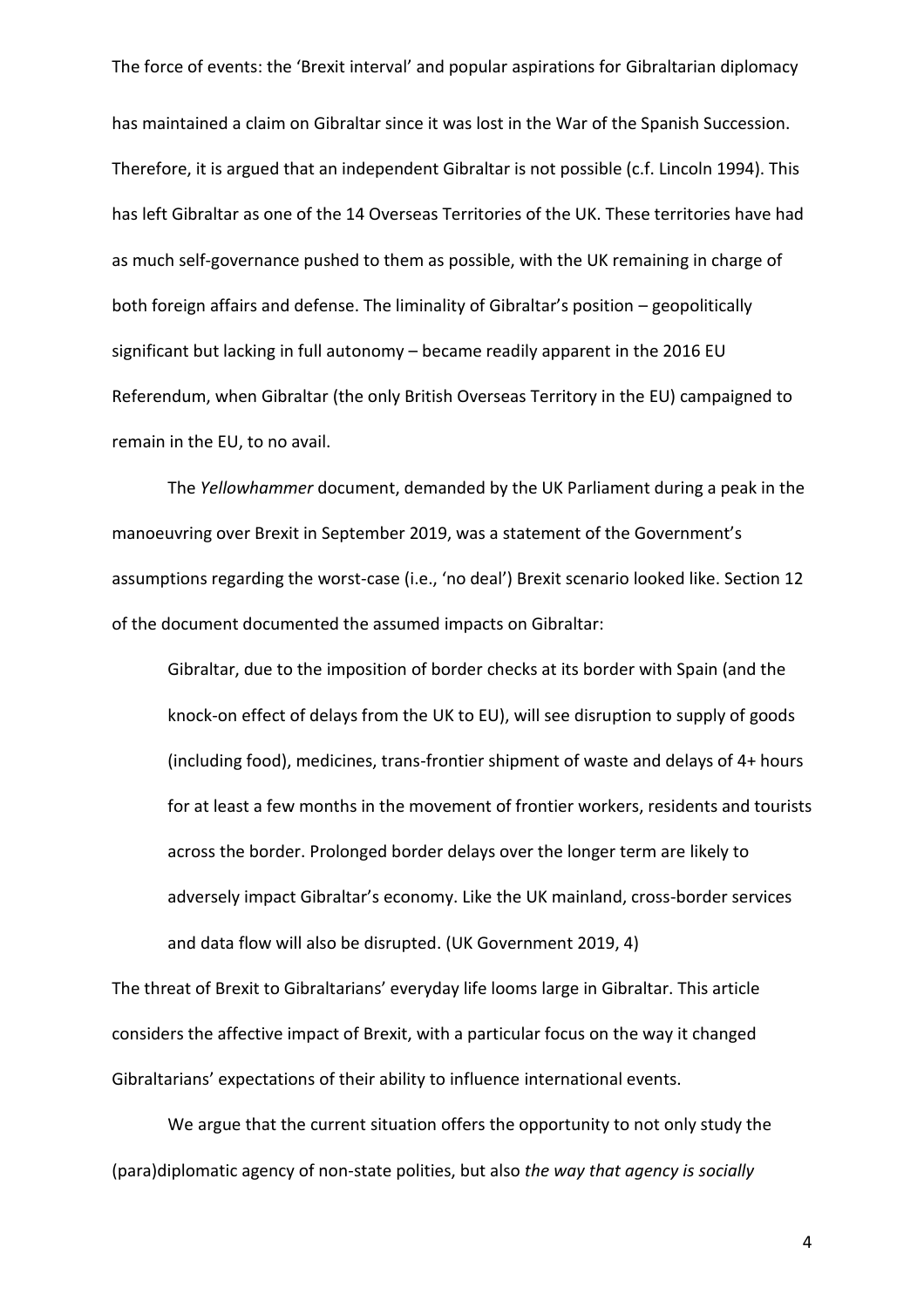has maintained a claim on Gibraltar since it was lost in the War of the Spanish Succession. Therefore, it is argued that an independent Gibraltar is not possible (c.f. Lincoln 1994). This has left Gibraltar as one of the 14 Overseas Territories of the UK. These territories have had as much self-governance pushed to them as possible, with the UK remaining in charge of both foreign affairs and defense. The liminality of Gibraltar's position – geopolitically significant but lacking in full autonomy – became readily apparent in the 2016 EU Referendum, when Gibraltar (the only British Overseas Territory in the EU) campaigned to remain in the EU, to no avail.

The *Yellowhammer* document, demanded by the UK Parliament during a peak in the manoeuvring over Brexit in September 2019, was a statement of the Government's assumptions regarding the worst-case (i.e., 'no deal') Brexit scenario looked like. Section 12 of the document documented the assumed impacts on Gibraltar:

Gibraltar, due to the imposition of border checks at its border with Spain (and the knock-on effect of delays from the UK to EU), will see disruption to supply of goods (including food), medicines, trans-frontier shipment of waste and delays of 4+ hours for at least a few months in the movement of frontier workers, residents and tourists across the border. Prolonged border delays over the longer term are likely to adversely impact Gibraltar's economy. Like the UK mainland, cross-border services and data flow will also be disrupted. (UK Government 2019, 4)

The threat of Brexit to Gibraltarians' everyday life looms large in Gibraltar. This article considers the affective impact of Brexit, with a particular focus on the way it changed Gibraltarians' expectations of their ability to influence international events.

We argue that the current situation offers the opportunity to not only study the (para)diplomatic agency of non-state polities, but also *the way that agency is socially*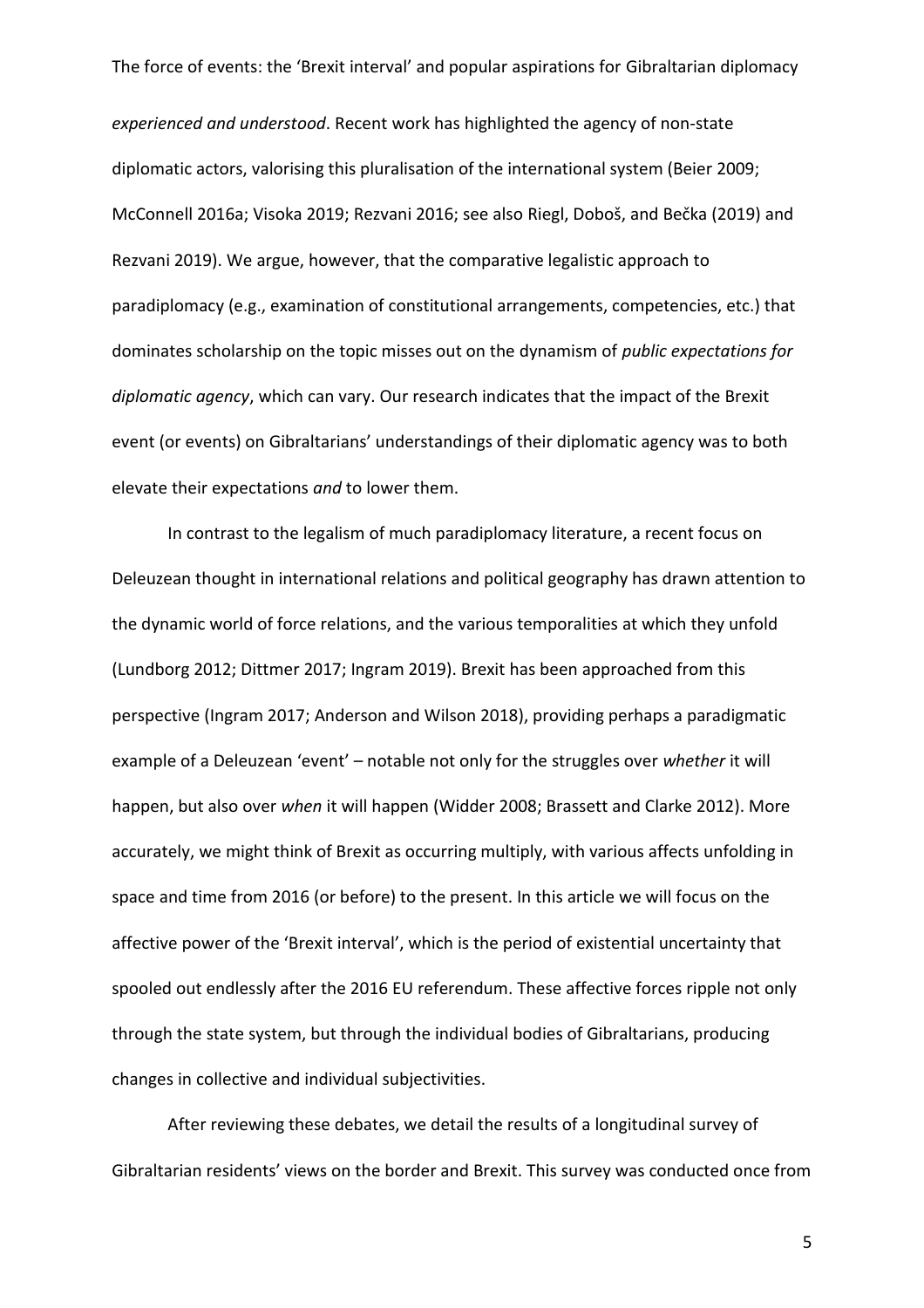*experienced and understood*. Recent work has highlighted the agency of non-state diplomatic actors, valorising this pluralisation of the international system (Beier 2009; McConnell 2016a; Visoka 2019; Rezvani 2016; see also Riegl, Doboš, and Bečka (2019) and Rezvani 2019). We argue, however, that the comparative legalistic approach to paradiplomacy (e.g., examination of constitutional arrangements, competencies, etc.) that dominates scholarship on the topic misses out on the dynamism of *public expectations for diplomatic agency*, which can vary. Our research indicates that the impact of the Brexit event (or events) on Gibraltarians' understandings of their diplomatic agency was to both elevate their expectations *and* to lower them.

In contrast to the legalism of much paradiplomacy literature, a recent focus on Deleuzean thought in international relations and political geography has drawn attention to the dynamic world of force relations, and the various temporalities at which they unfold (Lundborg 2012; Dittmer 2017; Ingram 2019). Brexit has been approached from this perspective (Ingram 2017; Anderson and Wilson 2018), providing perhaps a paradigmatic example of a Deleuzean 'event' – notable not only for the struggles over *whether* it will happen, but also over *when* it will happen (Widder 2008; Brassett and Clarke 2012). More accurately, we might think of Brexit as occurring multiply, with various affects unfolding in space and time from 2016 (or before) to the present. In this article we will focus on the affective power of the 'Brexit interval', which is the period of existential uncertainty that spooled out endlessly after the 2016 EU referendum. These affective forces ripple not only through the state system, but through the individual bodies of Gibraltarians, producing changes in collective and individual subjectivities.

After reviewing these debates, we detail the results of a longitudinal survey of Gibraltarian residents' views on the border and Brexit. This survey was conducted once from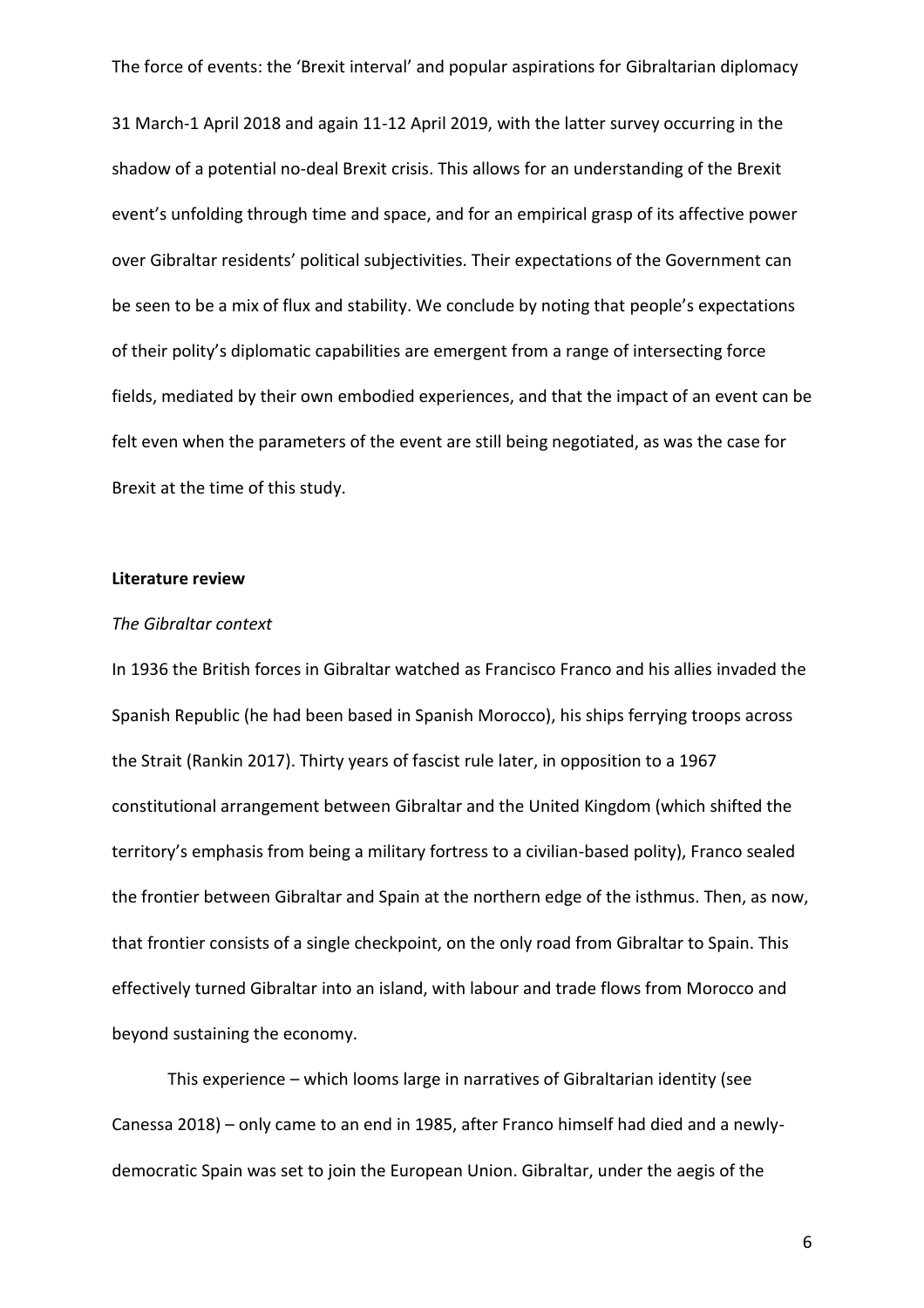31 March-1 April 2018 and again 11-12 April 2019, with the latter survey occurring in the shadow of a potential no-deal Brexit crisis. This allows for an understanding of the Brexit event's unfolding through time and space, and for an empirical grasp of its affective power over Gibraltar residents' political subjectivities. Their expectations of the Government can be seen to be a mix of flux and stability. We conclude by noting that people's expectations of their polity's diplomatic capabilities are emergent from a range of intersecting force fields, mediated by their own embodied experiences, and that the impact of an event can be felt even when the parameters of the event are still being negotiated, as was the case for Brexit at the time of this study.

## **Literature review**

## *The Gibraltar context*

In 1936 the British forces in Gibraltar watched as Francisco Franco and his allies invaded the Spanish Republic (he had been based in Spanish Morocco), his ships ferrying troops across the Strait (Rankin 2017). Thirty years of fascist rule later, in opposition to a 1967 constitutional arrangement between Gibraltar and the United Kingdom (which shifted the territory's emphasis from being a military fortress to a civilian-based polity), Franco sealed the frontier between Gibraltar and Spain at the northern edge of the isthmus. Then, as now, that frontier consists of a single checkpoint, on the only road from Gibraltar to Spain. This effectively turned Gibraltar into an island, with labour and trade flows from Morocco and beyond sustaining the economy.

This experience – which looms large in narratives of Gibraltarian identity (see Canessa 2018) – only came to an end in 1985, after Franco himself had died and a newlydemocratic Spain was set to join the European Union. Gibraltar, under the aegis of the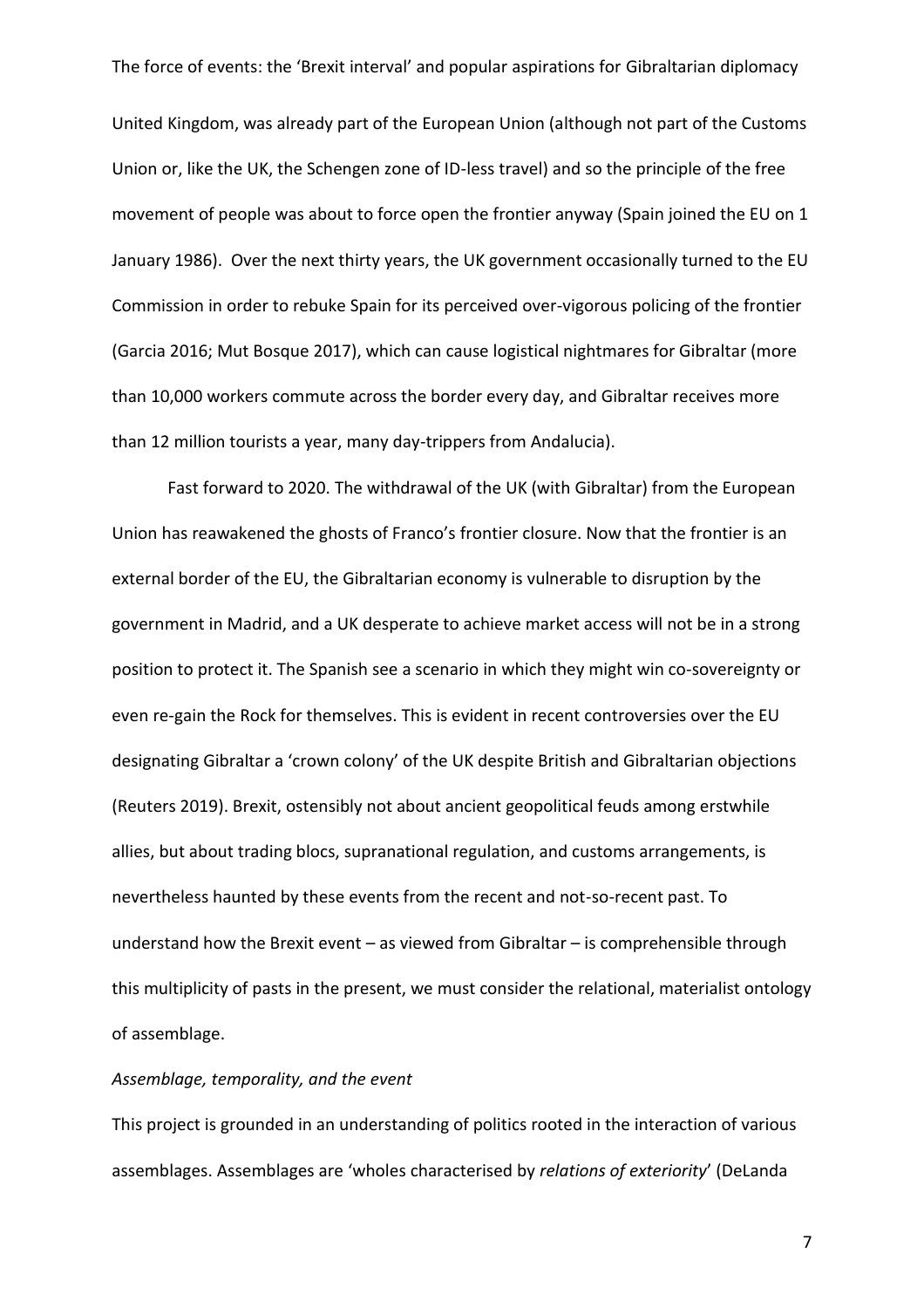United Kingdom, was already part of the European Union (although not part of the Customs Union or, like the UK, the Schengen zone of ID-less travel) and so the principle of the free movement of people was about to force open the frontier anyway (Spain joined the EU on 1 January 1986). Over the next thirty years, the UK government occasionally turned to the EU Commission in order to rebuke Spain for its perceived over-vigorous policing of the frontier (Garcia 2016; Mut Bosque 2017), which can cause logistical nightmares for Gibraltar (more than 10,000 workers commute across the border every day, and Gibraltar receives more than 12 million tourists a year, many day-trippers from Andalucia).

Fast forward to 2020. The withdrawal of the UK (with Gibraltar) from the European Union has reawakened the ghosts of Franco's frontier closure. Now that the frontier is an external border of the EU, the Gibraltarian economy is vulnerable to disruption by the government in Madrid, and a UK desperate to achieve market access will not be in a strong position to protect it. The Spanish see a scenario in which they might win co-sovereignty or even re-gain the Rock for themselves. This is evident in recent controversies over the EU designating Gibraltar a 'crown colony' of the UK despite British and Gibraltarian objections (Reuters 2019). Brexit, ostensibly not about ancient geopolitical feuds among erstwhile allies, but about trading blocs, supranational regulation, and customs arrangements, is nevertheless haunted by these events from the recent and not-so-recent past. To understand how the Brexit event – as viewed from Gibraltar – is comprehensible through this multiplicity of pasts in the present, we must consider the relational, materialist ontology of assemblage.

# *Assemblage, temporality, and the event*

This project is grounded in an understanding of politics rooted in the interaction of various assemblages. Assemblages are 'wholes characterised by *relations of exteriority*' (DeLanda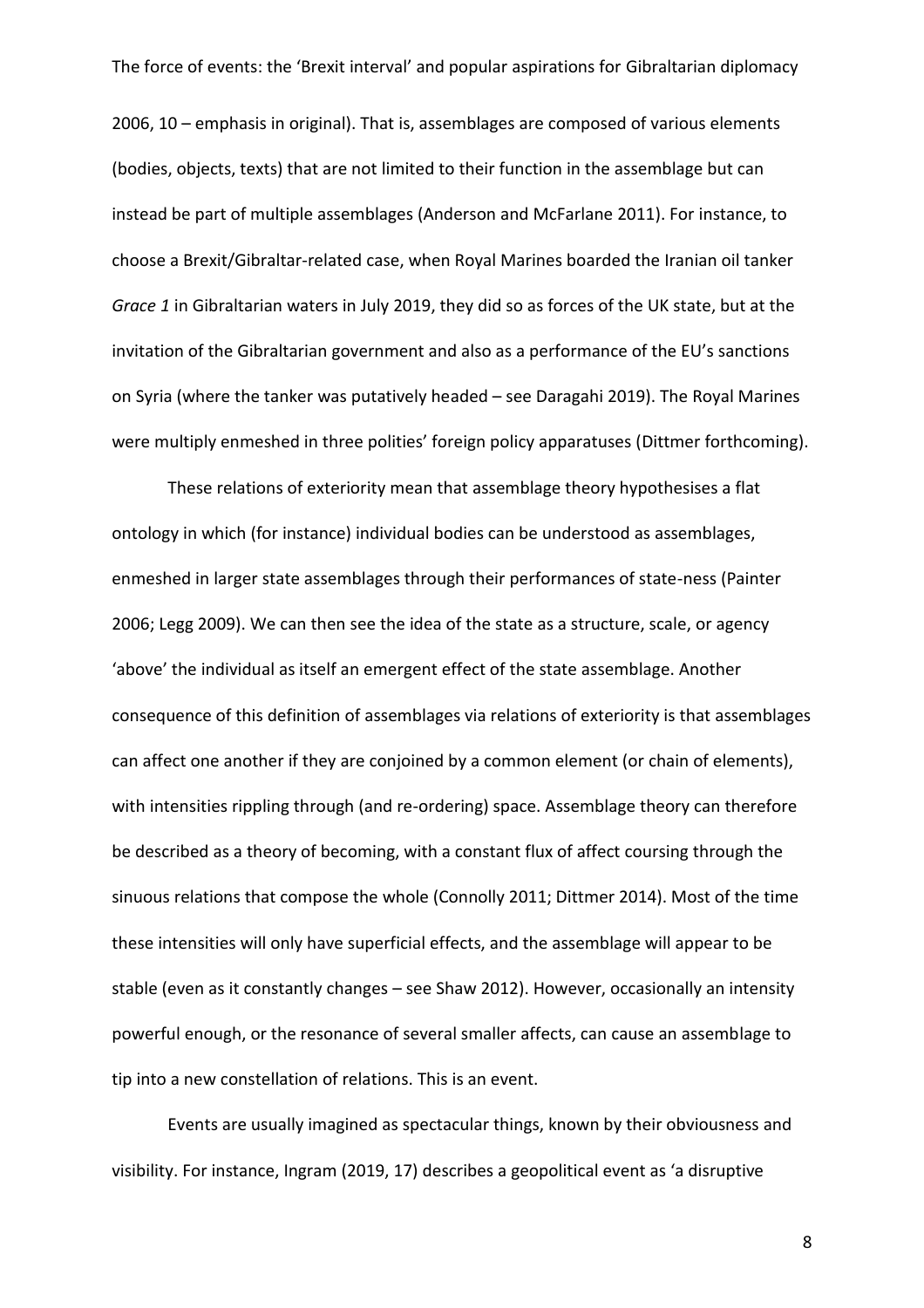2006, 10 – emphasis in original). That is, assemblages are composed of various elements (bodies, objects, texts) that are not limited to their function in the assemblage but can instead be part of multiple assemblages (Anderson and McFarlane 2011). For instance, to choose a Brexit/Gibraltar-related case, when Royal Marines boarded the Iranian oil tanker *Grace 1* in Gibraltarian waters in July 2019, they did so as forces of the UK state, but at the invitation of the Gibraltarian government and also as a performance of the EU's sanctions on Syria (where the tanker was putatively headed – see Daragahi 2019). The Royal Marines were multiply enmeshed in three polities' foreign policy apparatuses (Dittmer forthcoming).

These relations of exteriority mean that assemblage theory hypothesises a flat ontology in which (for instance) individual bodies can be understood as assemblages, enmeshed in larger state assemblages through their performances of state-ness (Painter 2006; Legg 2009). We can then see the idea of the state as a structure, scale, or agency 'above' the individual as itself an emergent effect of the state assemblage. Another consequence of this definition of assemblages via relations of exteriority is that assemblages can affect one another if they are conjoined by a common element (or chain of elements), with intensities rippling through (and re-ordering) space. Assemblage theory can therefore be described as a theory of becoming, with a constant flux of affect coursing through the sinuous relations that compose the whole (Connolly 2011; Dittmer 2014). Most of the time these intensities will only have superficial effects, and the assemblage will appear to be stable (even as it constantly changes – see Shaw 2012). However, occasionally an intensity powerful enough, or the resonance of several smaller affects, can cause an assemblage to tip into a new constellation of relations. This is an event.

Events are usually imagined as spectacular things, known by their obviousness and visibility. For instance, Ingram (2019, 17) describes a geopolitical event as 'a disruptive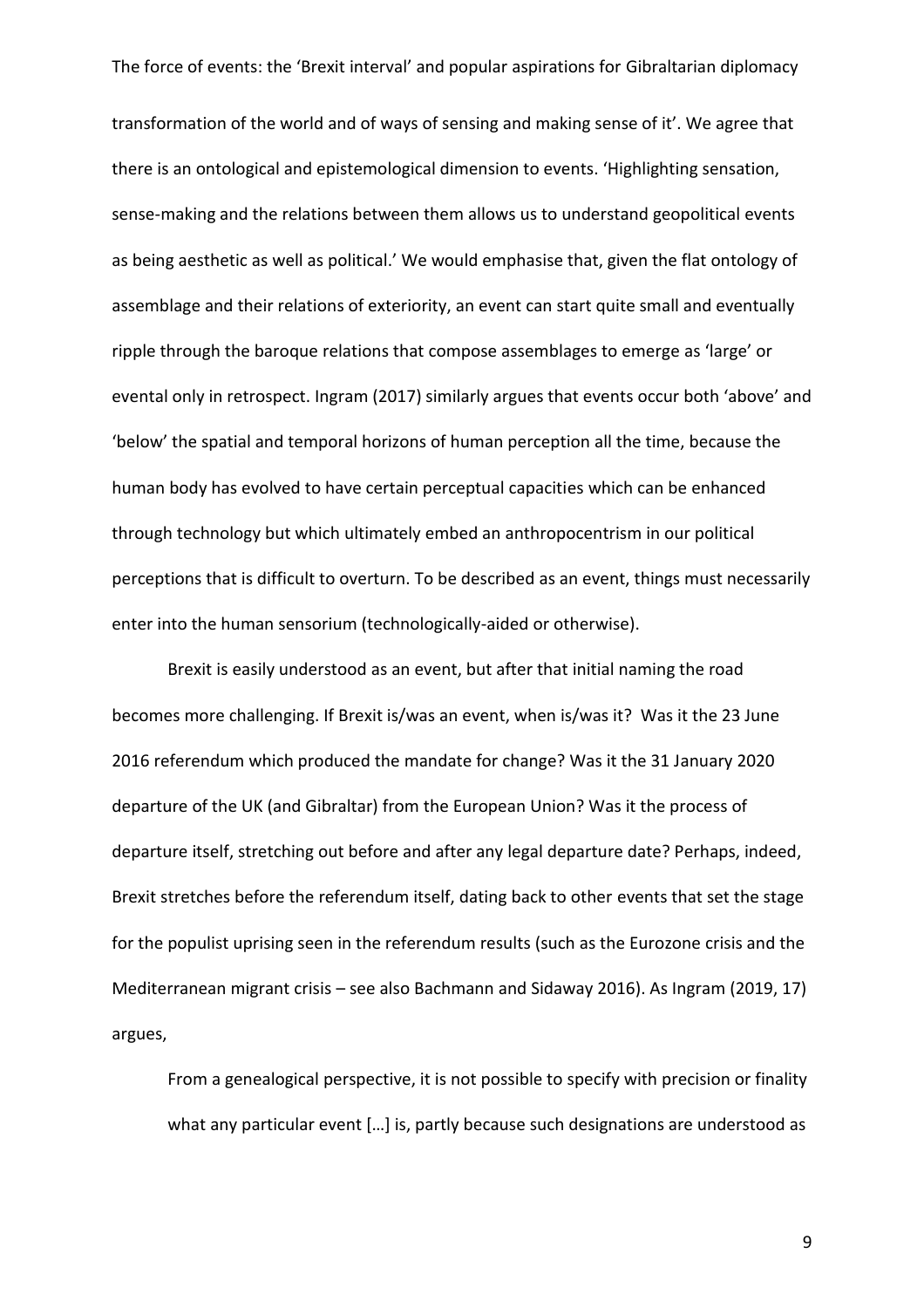transformation of the world and of ways of sensing and making sense of it'. We agree that there is an ontological and epistemological dimension to events. 'Highlighting sensation, sense-making and the relations between them allows us to understand geopolitical events as being aesthetic as well as political.' We would emphasise that, given the flat ontology of assemblage and their relations of exteriority, an event can start quite small and eventually ripple through the baroque relations that compose assemblages to emerge as 'large' or evental only in retrospect. Ingram (2017) similarly argues that events occur both 'above' and 'below' the spatial and temporal horizons of human perception all the time, because the human body has evolved to have certain perceptual capacities which can be enhanced through technology but which ultimately embed an anthropocentrism in our political perceptions that is difficult to overturn. To be described as an event, things must necessarily enter into the human sensorium (technologically-aided or otherwise).

Brexit is easily understood as an event, but after that initial naming the road becomes more challenging. If Brexit is/was an event, when is/was it? Was it the 23 June 2016 referendum which produced the mandate for change? Was it the 31 January 2020 departure of the UK (and Gibraltar) from the European Union? Was it the process of departure itself, stretching out before and after any legal departure date? Perhaps, indeed, Brexit stretches before the referendum itself, dating back to other events that set the stage for the populist uprising seen in the referendum results (such as the Eurozone crisis and the Mediterranean migrant crisis – see also Bachmann and Sidaway 2016). As Ingram (2019, 17) argues,

From a genealogical perspective, it is not possible to specify with precision or finality what any particular event […] is, partly because such designations are understood as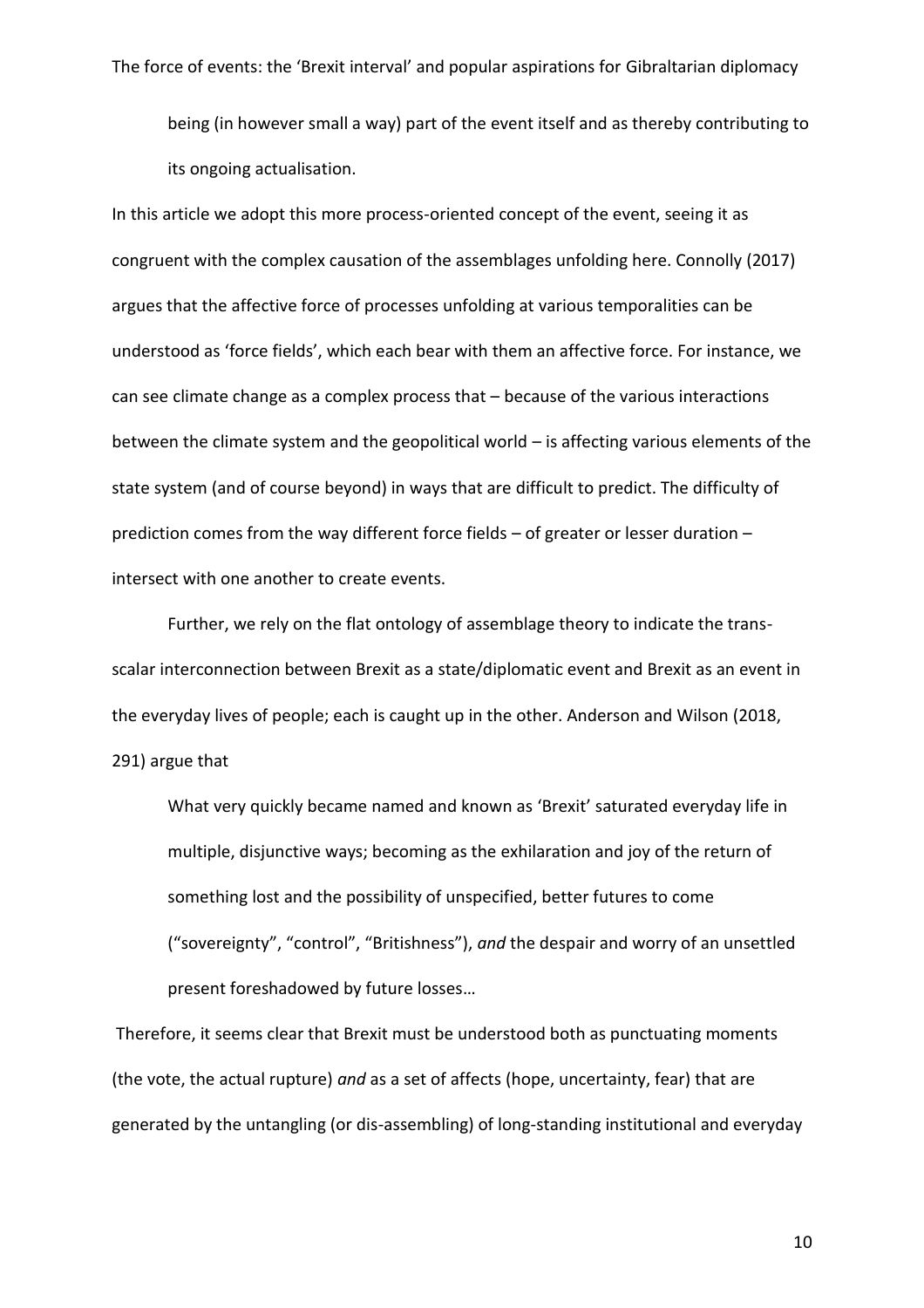being (in however small a way) part of the event itself and as thereby contributing to its ongoing actualisation.

In this article we adopt this more process-oriented concept of the event, seeing it as congruent with the complex causation of the assemblages unfolding here. Connolly (2017) argues that the affective force of processes unfolding at various temporalities can be understood as 'force fields', which each bear with them an affective force. For instance, we can see climate change as a complex process that – because of the various interactions between the climate system and the geopolitical world – is affecting various elements of the state system (and of course beyond) in ways that are difficult to predict. The difficulty of prediction comes from the way different force fields – of greater or lesser duration – intersect with one another to create events.

Further, we rely on the flat ontology of assemblage theory to indicate the transscalar interconnection between Brexit as a state/diplomatic event and Brexit as an event in the everyday lives of people; each is caught up in the other. Anderson and Wilson (2018, 291) argue that

What very quickly became named and known as 'Brexit' saturated everyday life in multiple, disjunctive ways; becoming as the exhilaration and joy of the return of something lost and the possibility of unspecified, better futures to come ("sovereignty", "control", "Britishness"), *and* the despair and worry of an unsettled present foreshadowed by future losses…

Therefore, it seems clear that Brexit must be understood both as punctuating moments (the vote, the actual rupture) *and* as a set of affects (hope, uncertainty, fear) that are generated by the untangling (or dis-assembling) of long-standing institutional and everyday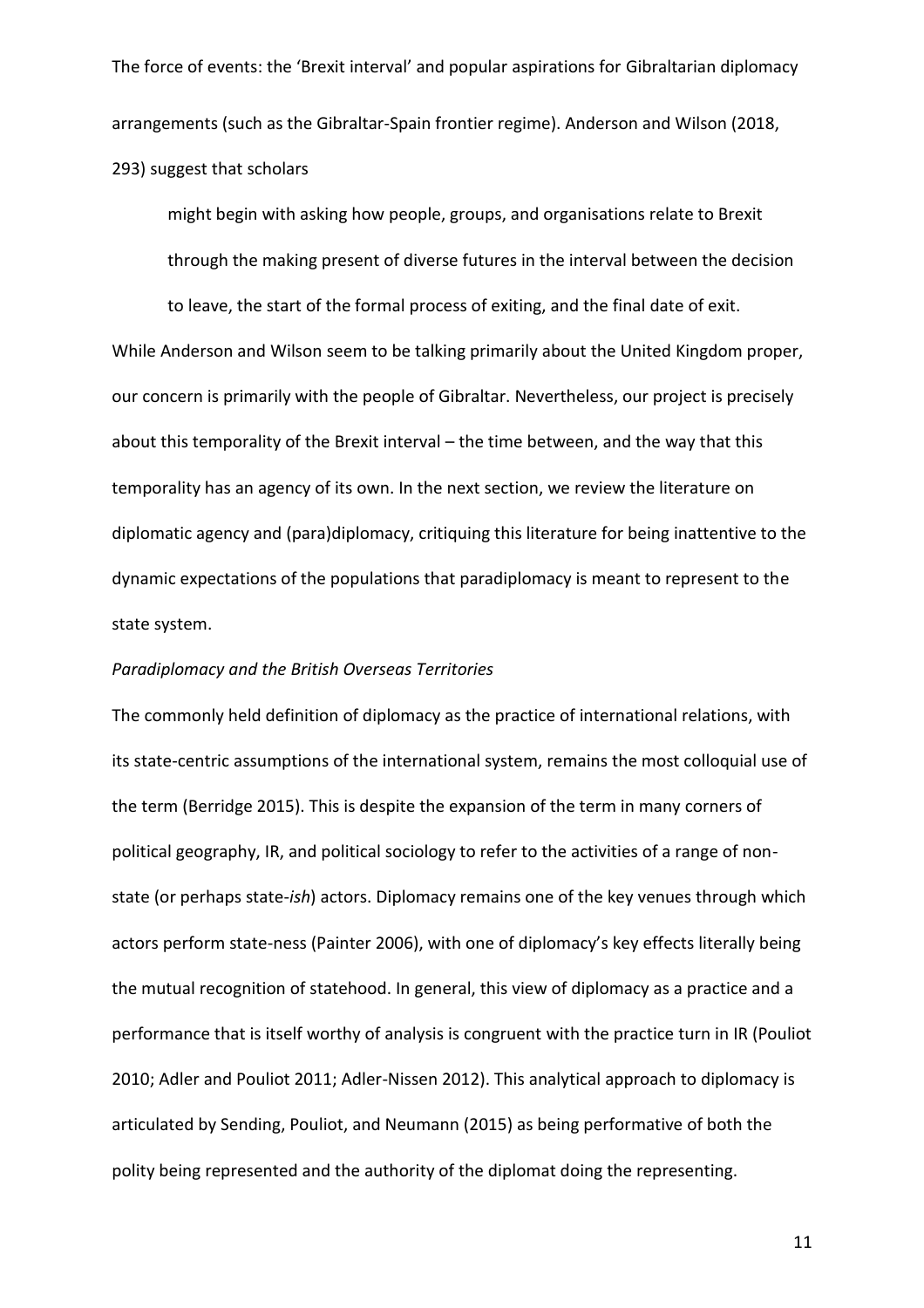The force of events: the 'Brexit interval' and popular aspirations for Gibraltarian diplomacy arrangements (such as the Gibraltar-Spain frontier regime). Anderson and Wilson (2018, 293) suggest that scholars

might begin with asking how people, groups, and organisations relate to Brexit through the making present of diverse futures in the interval between the decision

to leave, the start of the formal process of exiting, and the final date of exit. While Anderson and Wilson seem to be talking primarily about the United Kingdom proper, our concern is primarily with the people of Gibraltar. Nevertheless, our project is precisely about this temporality of the Brexit interval – the time between, and the way that this temporality has an agency of its own. In the next section, we review the literature on diplomatic agency and (para)diplomacy, critiquing this literature for being inattentive to the dynamic expectations of the populations that paradiplomacy is meant to represent to the state system.

## *Paradiplomacy and the British Overseas Territories*

The commonly held definition of diplomacy as the practice of international relations, with its state-centric assumptions of the international system, remains the most colloquial use of the term (Berridge 2015). This is despite the expansion of the term in many corners of political geography, IR, and political sociology to refer to the activities of a range of nonstate (or perhaps state-*ish*) actors. Diplomacy remains one of the key venues through which actors perform state-ness (Painter 2006), with one of diplomacy's key effects literally being the mutual recognition of statehood. In general, this view of diplomacy as a practice and a performance that is itself worthy of analysis is congruent with the practice turn in IR (Pouliot 2010; Adler and Pouliot 2011; Adler-Nissen 2012). This analytical approach to diplomacy is articulated by Sending, Pouliot, and Neumann (2015) as being performative of both the polity being represented and the authority of the diplomat doing the representing.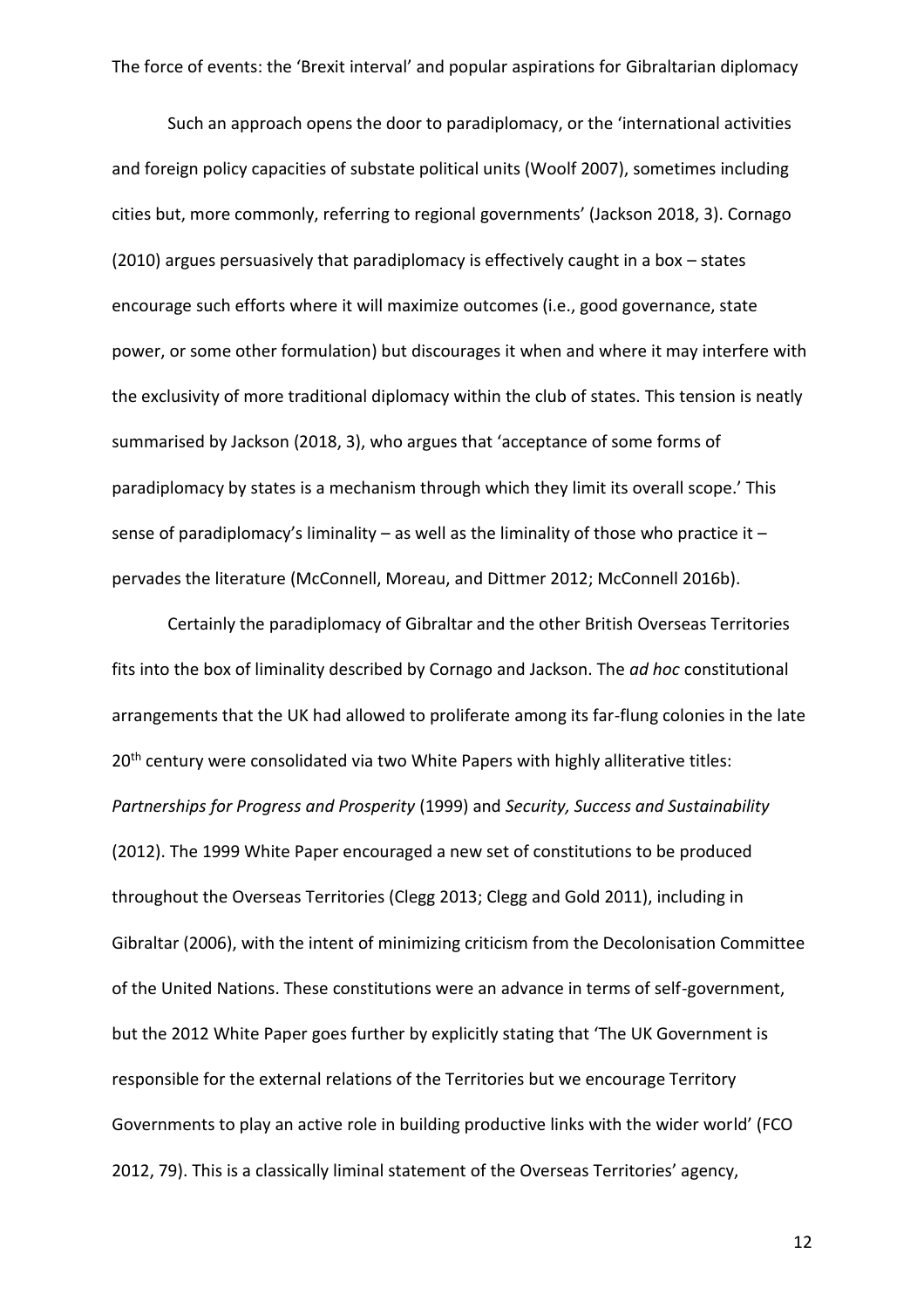Such an approach opens the door to paradiplomacy, or the 'international activities and foreign policy capacities of substate political units (Woolf 2007), sometimes including cities but, more commonly, referring to regional governments' (Jackson 2018, 3). Cornago (2010) argues persuasively that paradiplomacy is effectively caught in a box – states encourage such efforts where it will maximize outcomes (i.e., good governance, state power, or some other formulation) but discourages it when and where it may interfere with the exclusivity of more traditional diplomacy within the club of states. This tension is neatly summarised by Jackson (2018, 3), who argues that 'acceptance of some forms of paradiplomacy by states is a mechanism through which they limit its overall scope.' This sense of paradiplomacy's liminality – as well as the liminality of those who practice it – pervades the literature (McConnell, Moreau, and Dittmer 2012; McConnell 2016b).

Certainly the paradiplomacy of Gibraltar and the other British Overseas Territories fits into the box of liminality described by Cornago and Jackson. The *ad hoc* constitutional arrangements that the UK had allowed to proliferate among its far-flung colonies in the late 20<sup>th</sup> century were consolidated via two White Papers with highly alliterative titles: *Partnerships for Progress and Prosperity* (1999) and *Security, Success and Sustainability* (2012). The 1999 White Paper encouraged a new set of constitutions to be produced throughout the Overseas Territories (Clegg 2013; Clegg and Gold 2011), including in Gibraltar (2006), with the intent of minimizing criticism from the Decolonisation Committee of the United Nations. These constitutions were an advance in terms of self-government, but the 2012 White Paper goes further by explicitly stating that 'The UK Government is responsible for the external relations of the Territories but we encourage Territory Governments to play an active role in building productive links with the wider world' (FCO 2012, 79). This is a classically liminal statement of the Overseas Territories' agency,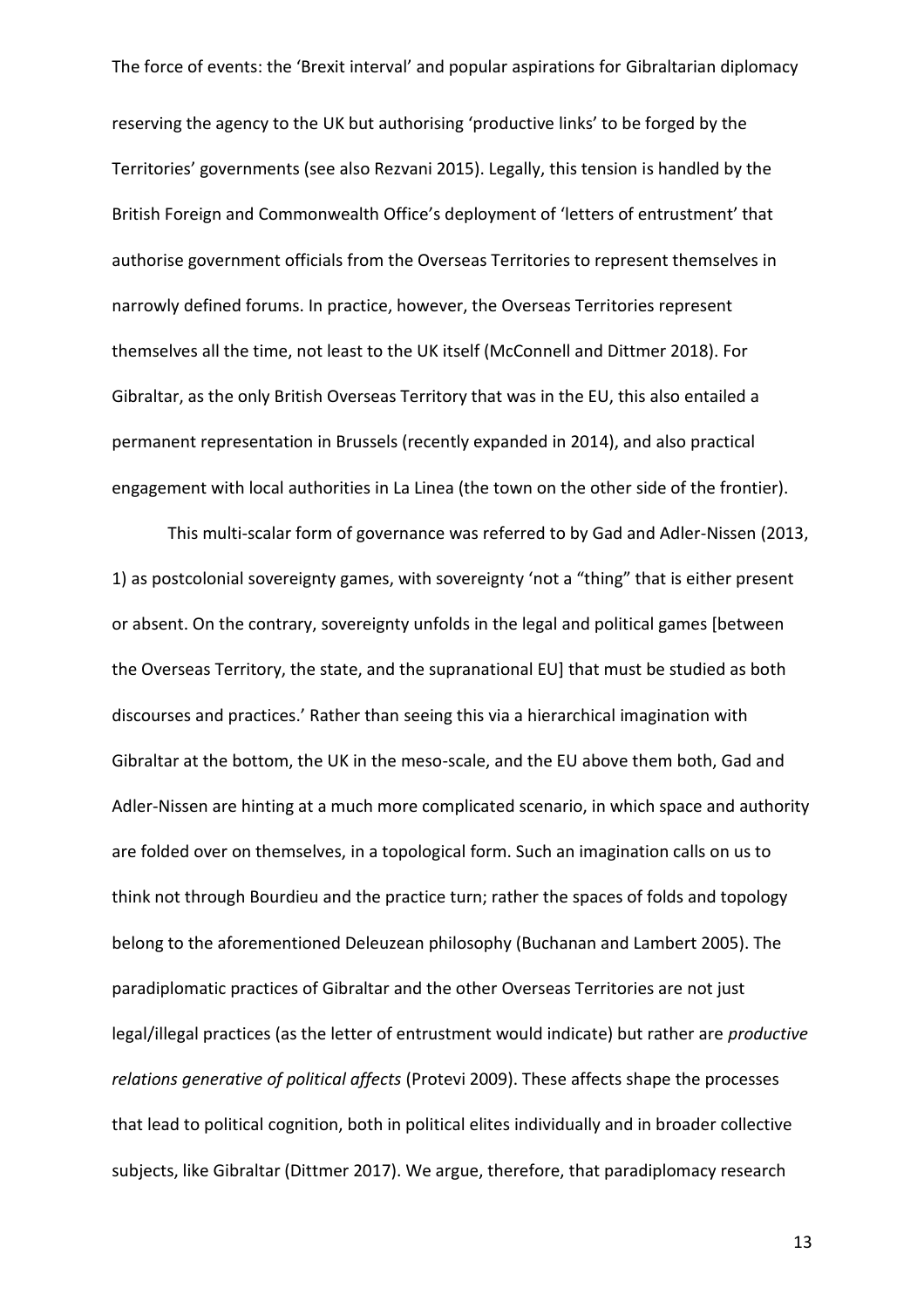reserving the agency to the UK but authorising 'productive links' to be forged by the Territories' governments (see also Rezvani 2015). Legally, this tension is handled by the British Foreign and Commonwealth Office's deployment of 'letters of entrustment' that authorise government officials from the Overseas Territories to represent themselves in narrowly defined forums. In practice, however, the Overseas Territories represent themselves all the time, not least to the UK itself (McConnell and Dittmer 2018). For Gibraltar, as the only British Overseas Territory that was in the EU, this also entailed a permanent representation in Brussels (recently expanded in 2014), and also practical engagement with local authorities in La Linea (the town on the other side of the frontier).

This multi-scalar form of governance was referred to by Gad and Adler-Nissen (2013, 1) as postcolonial sovereignty games, with sovereignty 'not a "thing" that is either present or absent. On the contrary, sovereignty unfolds in the legal and political games [between the Overseas Territory, the state, and the supranational EU] that must be studied as both discourses and practices.' Rather than seeing this via a hierarchical imagination with Gibraltar at the bottom, the UK in the meso-scale, and the EU above them both, Gad and Adler-Nissen are hinting at a much more complicated scenario, in which space and authority are folded over on themselves, in a topological form. Such an imagination calls on us to think not through Bourdieu and the practice turn; rather the spaces of folds and topology belong to the aforementioned Deleuzean philosophy (Buchanan and Lambert 2005). The paradiplomatic practices of Gibraltar and the other Overseas Territories are not just legal/illegal practices (as the letter of entrustment would indicate) but rather are *productive relations generative of political affects* (Protevi 2009). These affects shape the processes that lead to political cognition, both in political elites individually and in broader collective subjects, like Gibraltar (Dittmer 2017). We argue, therefore, that paradiplomacy research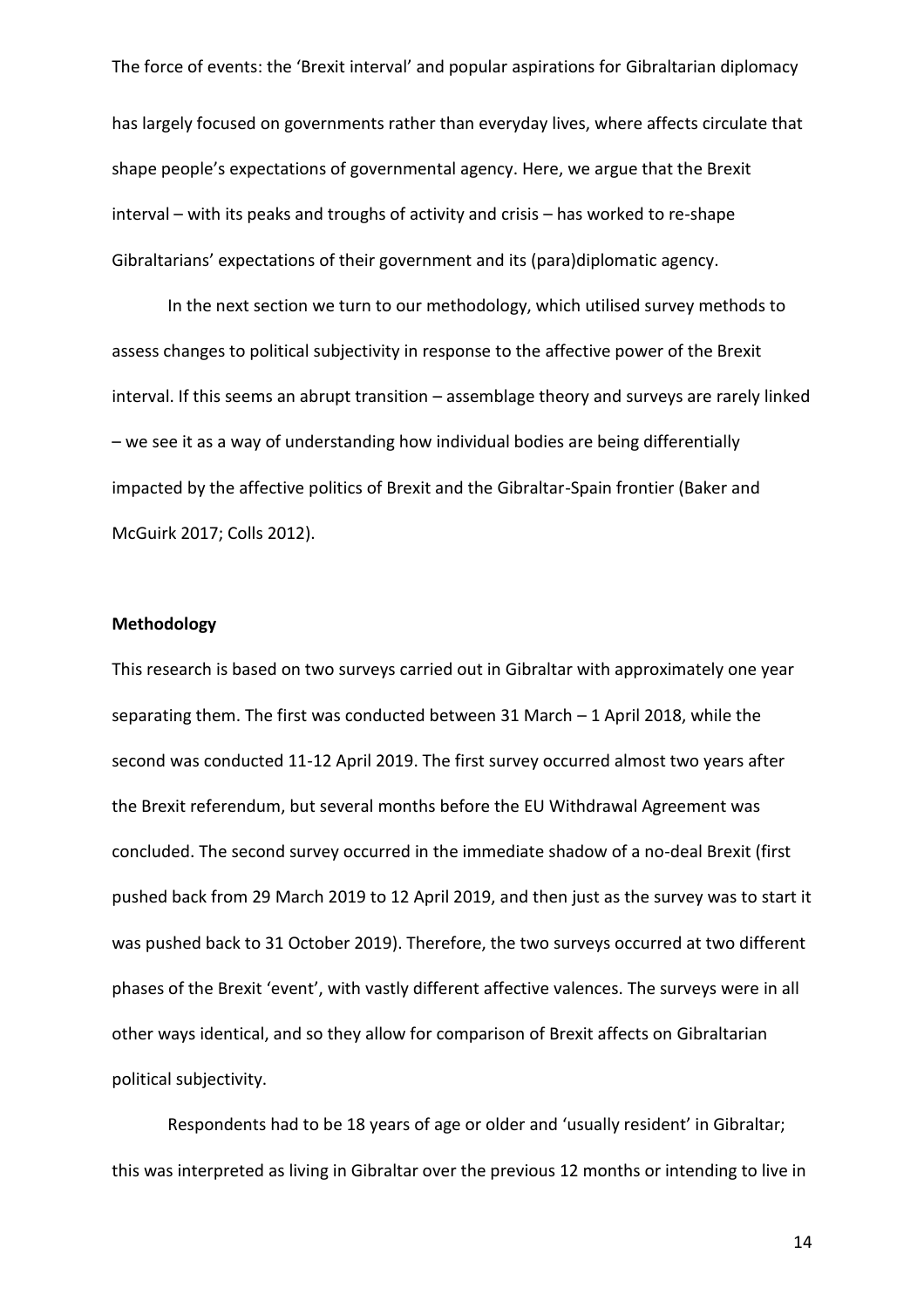has largely focused on governments rather than everyday lives, where affects circulate that shape people's expectations of governmental agency. Here, we argue that the Brexit interval – with its peaks and troughs of activity and crisis – has worked to re-shape Gibraltarians' expectations of their government and its (para)diplomatic agency.

In the next section we turn to our methodology, which utilised survey methods to assess changes to political subjectivity in response to the affective power of the Brexit interval. If this seems an abrupt transition – assemblage theory and surveys are rarely linked – we see it as a way of understanding how individual bodies are being differentially impacted by the affective politics of Brexit and the Gibraltar-Spain frontier (Baker and McGuirk 2017; Colls 2012).

## **Methodology**

This research is based on two surveys carried out in Gibraltar with approximately one year separating them. The first was conducted between 31 March – 1 April 2018, while the second was conducted 11-12 April 2019. The first survey occurred almost two years after the Brexit referendum, but several months before the EU Withdrawal Agreement was concluded. The second survey occurred in the immediate shadow of a no-deal Brexit (first pushed back from 29 March 2019 to 12 April 2019, and then just as the survey was to start it was pushed back to 31 October 2019). Therefore, the two surveys occurred at two different phases of the Brexit 'event', with vastly different affective valences. The surveys were in all other ways identical, and so they allow for comparison of Brexit affects on Gibraltarian political subjectivity.

Respondents had to be 18 years of age or older and 'usually resident' in Gibraltar; this was interpreted as living in Gibraltar over the previous 12 months or intending to live in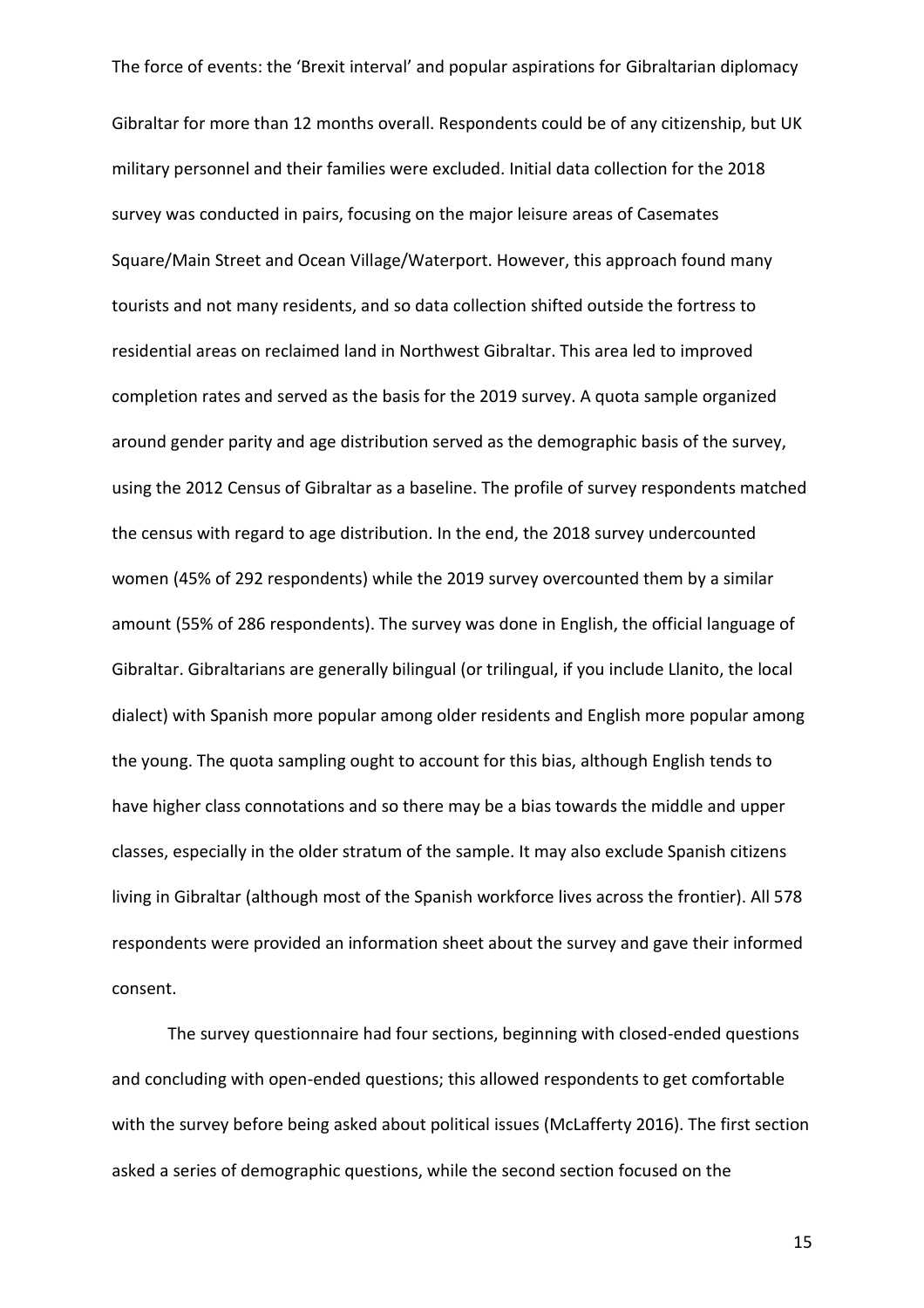Gibraltar for more than 12 months overall. Respondents could be of any citizenship, but UK military personnel and their families were excluded. Initial data collection for the 2018 survey was conducted in pairs, focusing on the major leisure areas of Casemates Square/Main Street and Ocean Village/Waterport. However, this approach found many tourists and not many residents, and so data collection shifted outside the fortress to residential areas on reclaimed land in Northwest Gibraltar. This area led to improved completion rates and served as the basis for the 2019 survey. A quota sample organized around gender parity and age distribution served as the demographic basis of the survey, using the 2012 Census of Gibraltar as a baseline. The profile of survey respondents matched the census with regard to age distribution. In the end, the 2018 survey undercounted women (45% of 292 respondents) while the 2019 survey overcounted them by a similar amount (55% of 286 respondents). The survey was done in English, the official language of Gibraltar. Gibraltarians are generally bilingual (or trilingual, if you include Llanito, the local dialect) with Spanish more popular among older residents and English more popular among the young. The quota sampling ought to account for this bias, although English tends to have higher class connotations and so there may be a bias towards the middle and upper classes, especially in the older stratum of the sample. It may also exclude Spanish citizens living in Gibraltar (although most of the Spanish workforce lives across the frontier). All 578 respondents were provided an information sheet about the survey and gave their informed consent.

The survey questionnaire had four sections, beginning with closed-ended questions and concluding with open-ended questions; this allowed respondents to get comfortable with the survey before being asked about political issues (McLafferty 2016). The first section asked a series of demographic questions, while the second section focused on the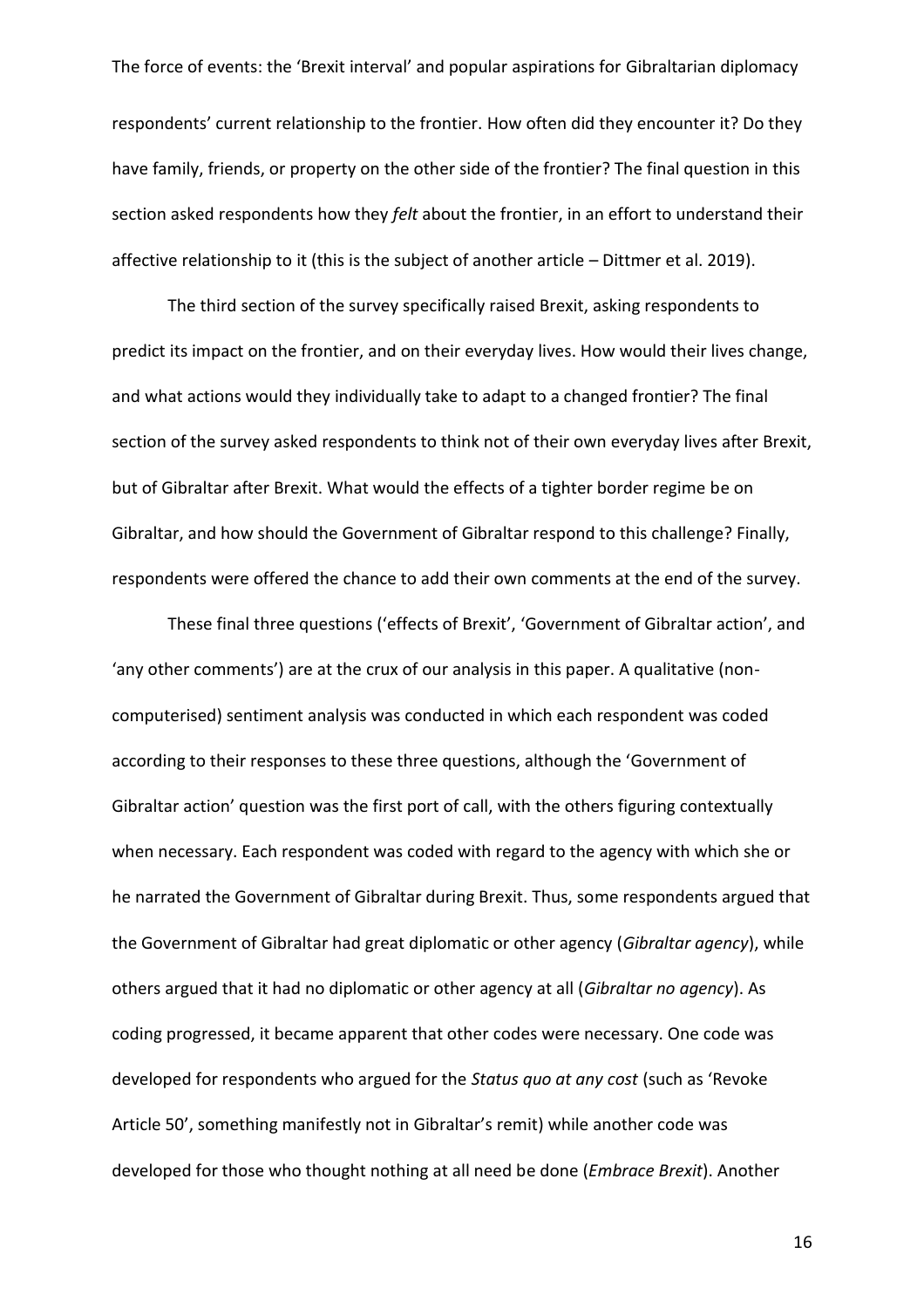The force of events: the 'Brexit interval' and popular aspirations for Gibraltarian diplomacy respondents' current relationship to the frontier. How often did they encounter it? Do they have family, friends, or property on the other side of the frontier? The final question in this section asked respondents how they *felt* about the frontier, in an effort to understand their affective relationship to it (this is the subject of another article – Dittmer et al. 2019).

The third section of the survey specifically raised Brexit, asking respondents to predict its impact on the frontier, and on their everyday lives. How would their lives change, and what actions would they individually take to adapt to a changed frontier? The final section of the survey asked respondents to think not of their own everyday lives after Brexit, but of Gibraltar after Brexit. What would the effects of a tighter border regime be on Gibraltar, and how should the Government of Gibraltar respond to this challenge? Finally, respondents were offered the chance to add their own comments at the end of the survey.

These final three questions ('effects of Brexit', 'Government of Gibraltar action', and 'any other comments') are at the crux of our analysis in this paper. A qualitative (noncomputerised) sentiment analysis was conducted in which each respondent was coded according to their responses to these three questions, although the 'Government of Gibraltar action' question was the first port of call, with the others figuring contextually when necessary. Each respondent was coded with regard to the agency with which she or he narrated the Government of Gibraltar during Brexit. Thus, some respondents argued that the Government of Gibraltar had great diplomatic or other agency (*Gibraltar agency*), while others argued that it had no diplomatic or other agency at all (*Gibraltar no agency*). As coding progressed, it became apparent that other codes were necessary. One code was developed for respondents who argued for the *Status quo at any cost* (such as 'Revoke Article 50', something manifestly not in Gibraltar's remit) while another code was developed for those who thought nothing at all need be done (*Embrace Brexit*). Another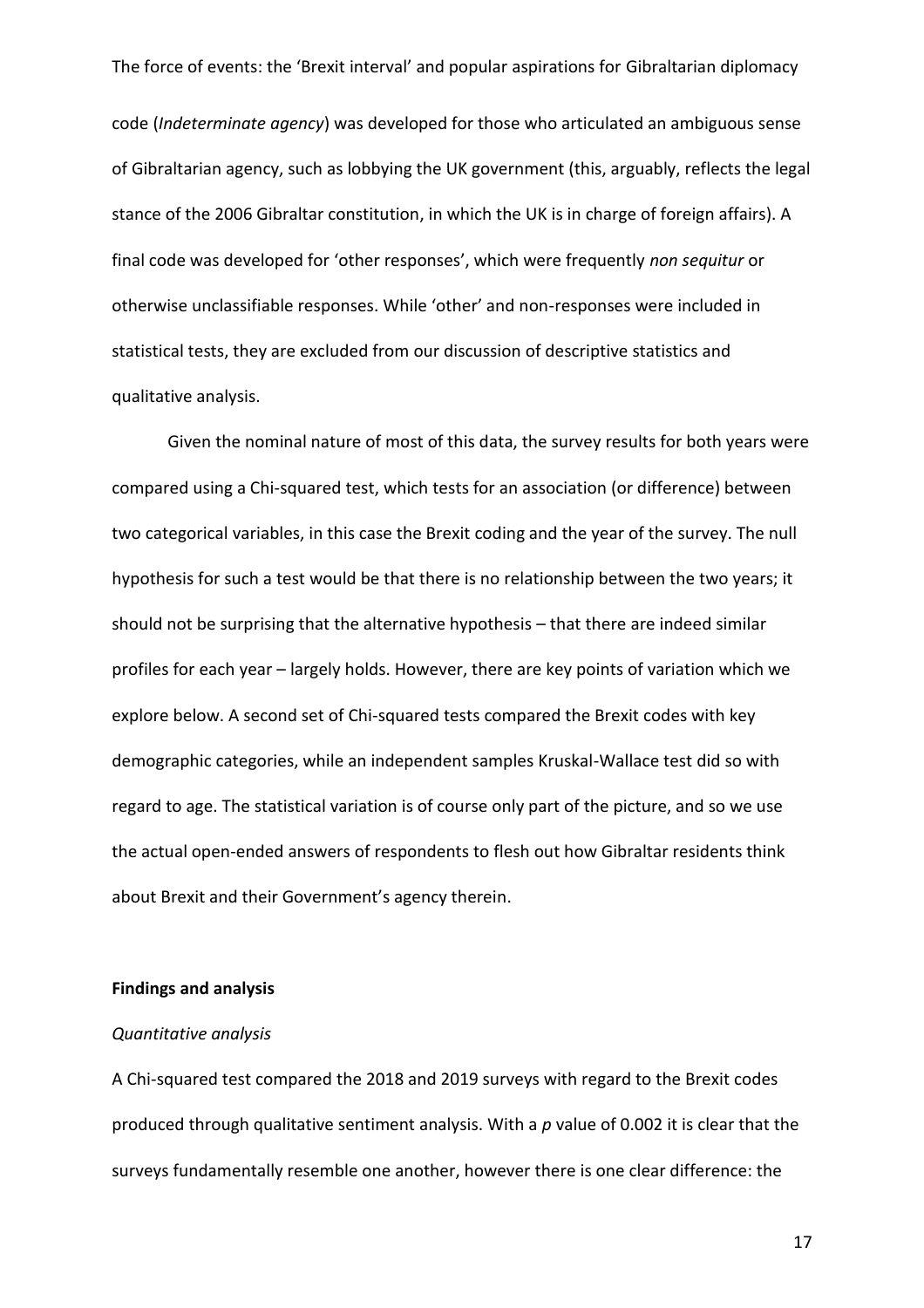code (*Indeterminate agency*) was developed for those who articulated an ambiguous sense of Gibraltarian agency, such as lobbying the UK government (this, arguably, reflects the legal stance of the 2006 Gibraltar constitution, in which the UK is in charge of foreign affairs). A final code was developed for 'other responses', which were frequently *non sequitur* or otherwise unclassifiable responses. While 'other' and non-responses were included in statistical tests, they are excluded from our discussion of descriptive statistics and qualitative analysis.

Given the nominal nature of most of this data, the survey results for both years were compared using a Chi-squared test, which tests for an association (or difference) between two categorical variables, in this case the Brexit coding and the year of the survey. The null hypothesis for such a test would be that there is no relationship between the two years; it should not be surprising that the alternative hypothesis – that there are indeed similar profiles for each year – largely holds. However, there are key points of variation which we explore below. A second set of Chi-squared tests compared the Brexit codes with key demographic categories, while an independent samples Kruskal-Wallace test did so with regard to age. The statistical variation is of course only part of the picture, and so we use the actual open-ended answers of respondents to flesh out how Gibraltar residents think about Brexit and their Government's agency therein.

## **Findings and analysis**

## *Quantitative analysis*

A Chi-squared test compared the 2018 and 2019 surveys with regard to the Brexit codes produced through qualitative sentiment analysis. With a *p* value of 0.002 it is clear that the surveys fundamentally resemble one another, however there is one clear difference: the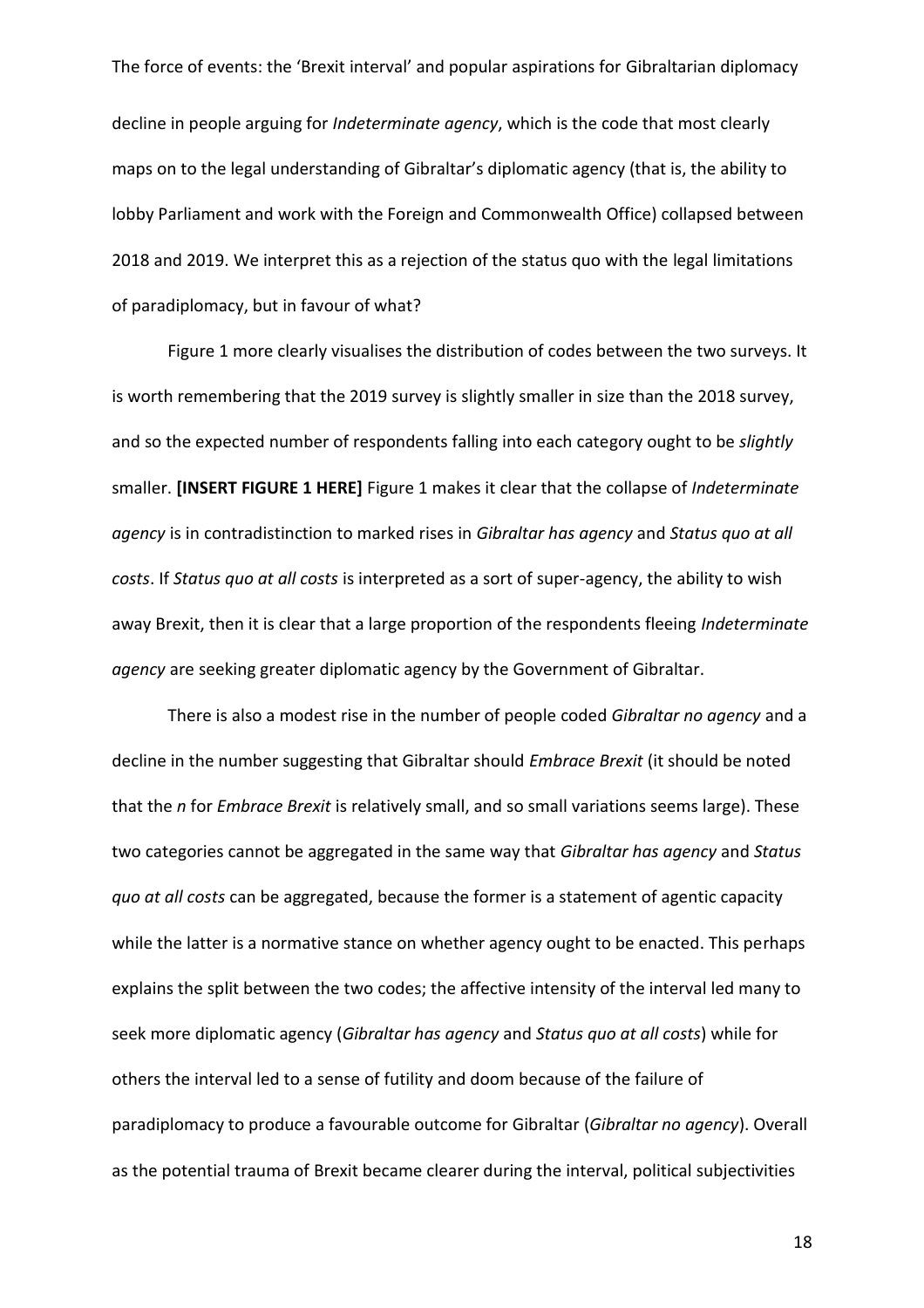The force of events: the 'Brexit interval' and popular aspirations for Gibraltarian diplomacy decline in people arguing for *Indeterminate agency*, which is the code that most clearly maps on to the legal understanding of Gibraltar's diplomatic agency (that is, the ability to lobby Parliament and work with the Foreign and Commonwealth Office) collapsed between 2018 and 2019. We interpret this as a rejection of the status quo with the legal limitations of paradiplomacy, but in favour of what?

Figure 1 more clearly visualises the distribution of codes between the two surveys. It is worth remembering that the 2019 survey is slightly smaller in size than the 2018 survey, and so the expected number of respondents falling into each category ought to be *slightly*  smaller. **[INSERT FIGURE 1 HERE]** Figure 1 makes it clear that the collapse of *Indeterminate agency* is in contradistinction to marked rises in *Gibraltar has agency* and *Status quo at all costs*. If *Status quo at all costs* is interpreted as a sort of super-agency, the ability to wish away Brexit, then it is clear that a large proportion of the respondents fleeing *Indeterminate agency* are seeking greater diplomatic agency by the Government of Gibraltar.

There is also a modest rise in the number of people coded *Gibraltar no agency* and a decline in the number suggesting that Gibraltar should *Embrace Brexit* (it should be noted that the *n* for *Embrace Brexit* is relatively small, and so small variations seems large). These two categories cannot be aggregated in the same way that *Gibraltar has agency* and *Status quo at all costs* can be aggregated, because the former is a statement of agentic capacity while the latter is a normative stance on whether agency ought to be enacted. This perhaps explains the split between the two codes; the affective intensity of the interval led many to seek more diplomatic agency (*Gibraltar has agency* and *Status quo at all costs*) while for others the interval led to a sense of futility and doom because of the failure of paradiplomacy to produce a favourable outcome for Gibraltar (*Gibraltar no agency*). Overall as the potential trauma of Brexit became clearer during the interval, political subjectivities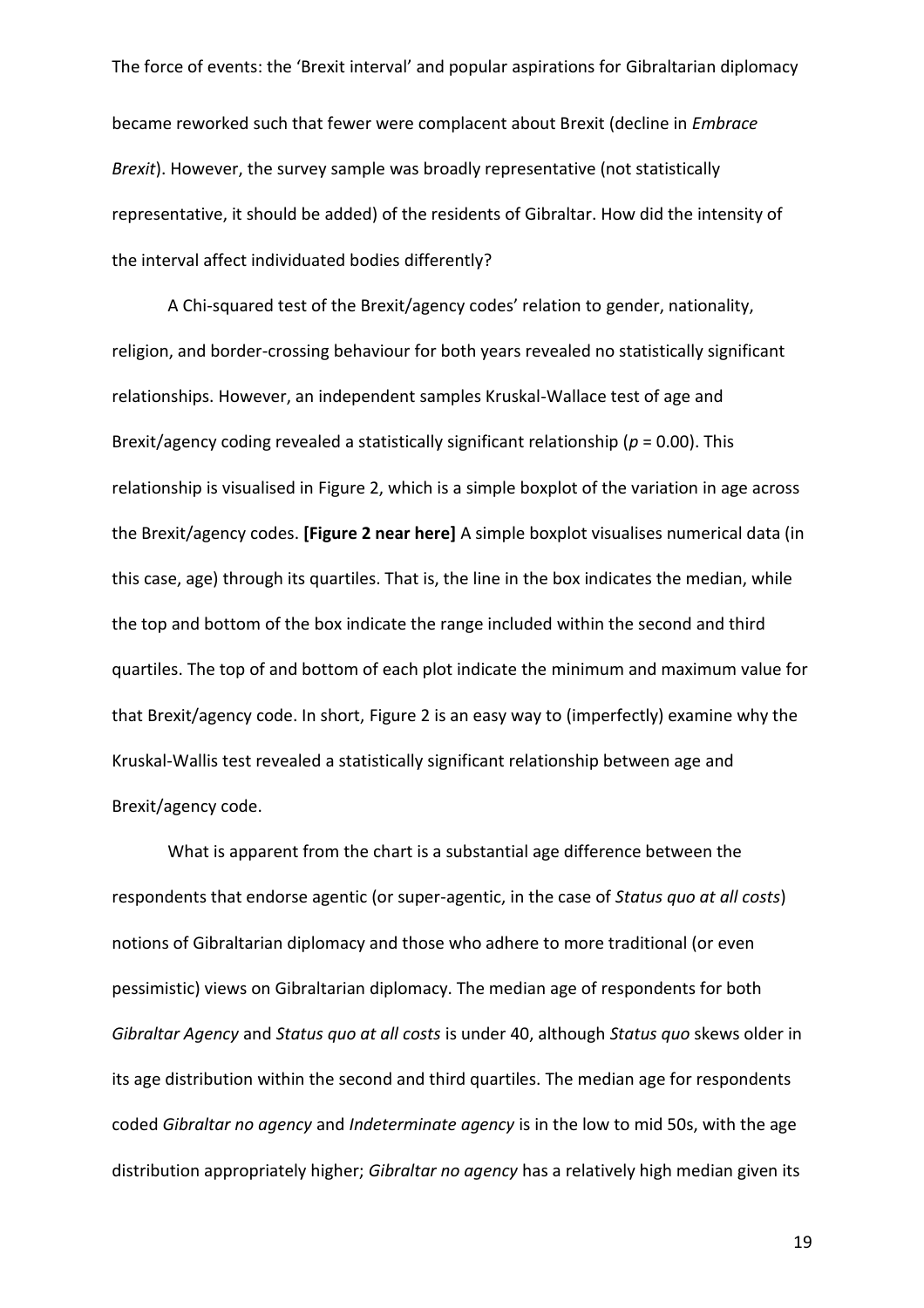The force of events: the 'Brexit interval' and popular aspirations for Gibraltarian diplomacy became reworked such that fewer were complacent about Brexit (decline in *Embrace Brexit*). However, the survey sample was broadly representative (not statistically representative, it should be added) of the residents of Gibraltar. How did the intensity of the interval affect individuated bodies differently?

A Chi-squared test of the Brexit/agency codes' relation to gender, nationality, religion, and border-crossing behaviour for both years revealed no statistically significant relationships. However, an independent samples Kruskal-Wallace test of age and Brexit/agency coding revealed a statistically significant relationship (*p* = 0.00). This relationship is visualised in Figure 2, which is a simple boxplot of the variation in age across the Brexit/agency codes. **[Figure 2 near here]** A simple boxplot visualises numerical data (in this case, age) through its quartiles. That is, the line in the box indicates the median, while the top and bottom of the box indicate the range included within the second and third quartiles. The top of and bottom of each plot indicate the minimum and maximum value for that Brexit/agency code. In short, Figure 2 is an easy way to (imperfectly) examine why the Kruskal-Wallis test revealed a statistically significant relationship between age and Brexit/agency code.

What is apparent from the chart is a substantial age difference between the respondents that endorse agentic (or super-agentic, in the case of *Status quo at all costs*) notions of Gibraltarian diplomacy and those who adhere to more traditional (or even pessimistic) views on Gibraltarian diplomacy. The median age of respondents for both *Gibraltar Agency* and *Status quo at all costs* is under 40, although *Status quo* skews older in its age distribution within the second and third quartiles. The median age for respondents coded *Gibraltar no agency* and *Indeterminate agency* is in the low to mid 50s, with the age distribution appropriately higher; *Gibraltar no agency* has a relatively high median given its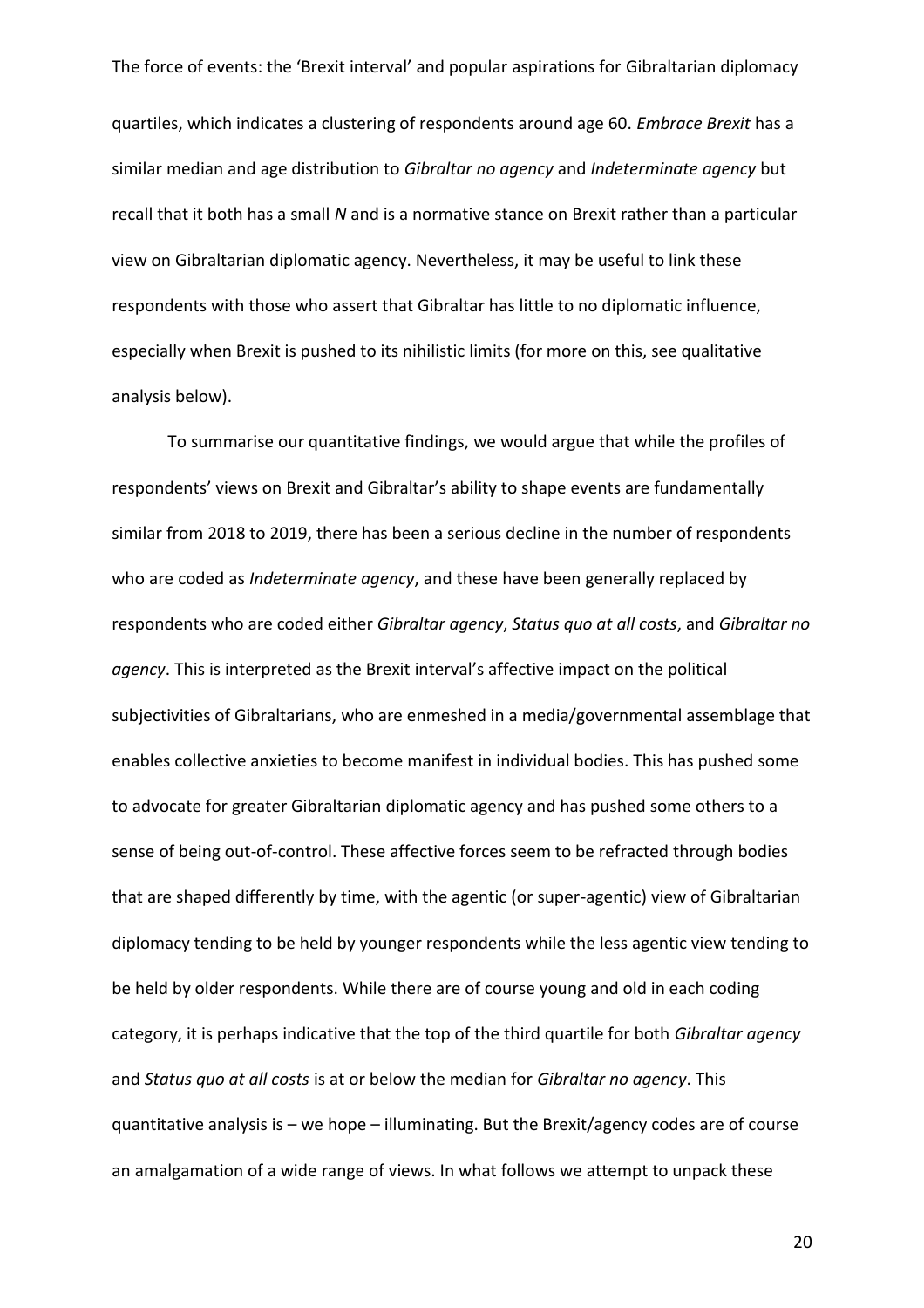The force of events: the 'Brexit interval' and popular aspirations for Gibraltarian diplomacy quartiles, which indicates a clustering of respondents around age 60. *Embrace Brexit* has a similar median and age distribution to *Gibraltar no agency* and *Indeterminate agency* but recall that it both has a small *N* and is a normative stance on Brexit rather than a particular view on Gibraltarian diplomatic agency. Nevertheless, it may be useful to link these respondents with those who assert that Gibraltar has little to no diplomatic influence, especially when Brexit is pushed to its nihilistic limits (for more on this, see qualitative analysis below).

To summarise our quantitative findings, we would argue that while the profiles of respondents' views on Brexit and Gibraltar's ability to shape events are fundamentally similar from 2018 to 2019, there has been a serious decline in the number of respondents who are coded as *Indeterminate agency*, and these have been generally replaced by respondents who are coded either *Gibraltar agency*, *Status quo at all costs*, and *Gibraltar no agency*. This is interpreted as the Brexit interval's affective impact on the political subjectivities of Gibraltarians, who are enmeshed in a media/governmental assemblage that enables collective anxieties to become manifest in individual bodies. This has pushed some to advocate for greater Gibraltarian diplomatic agency and has pushed some others to a sense of being out-of-control. These affective forces seem to be refracted through bodies that are shaped differently by time, with the agentic (or super-agentic) view of Gibraltarian diplomacy tending to be held by younger respondents while the less agentic view tending to be held by older respondents. While there are of course young and old in each coding category, it is perhaps indicative that the top of the third quartile for both *Gibraltar agency* and *Status quo at all costs* is at or below the median for *Gibraltar no agency*. This quantitative analysis is – we hope – illuminating. But the Brexit/agency codes are of course an amalgamation of a wide range of views. In what follows we attempt to unpack these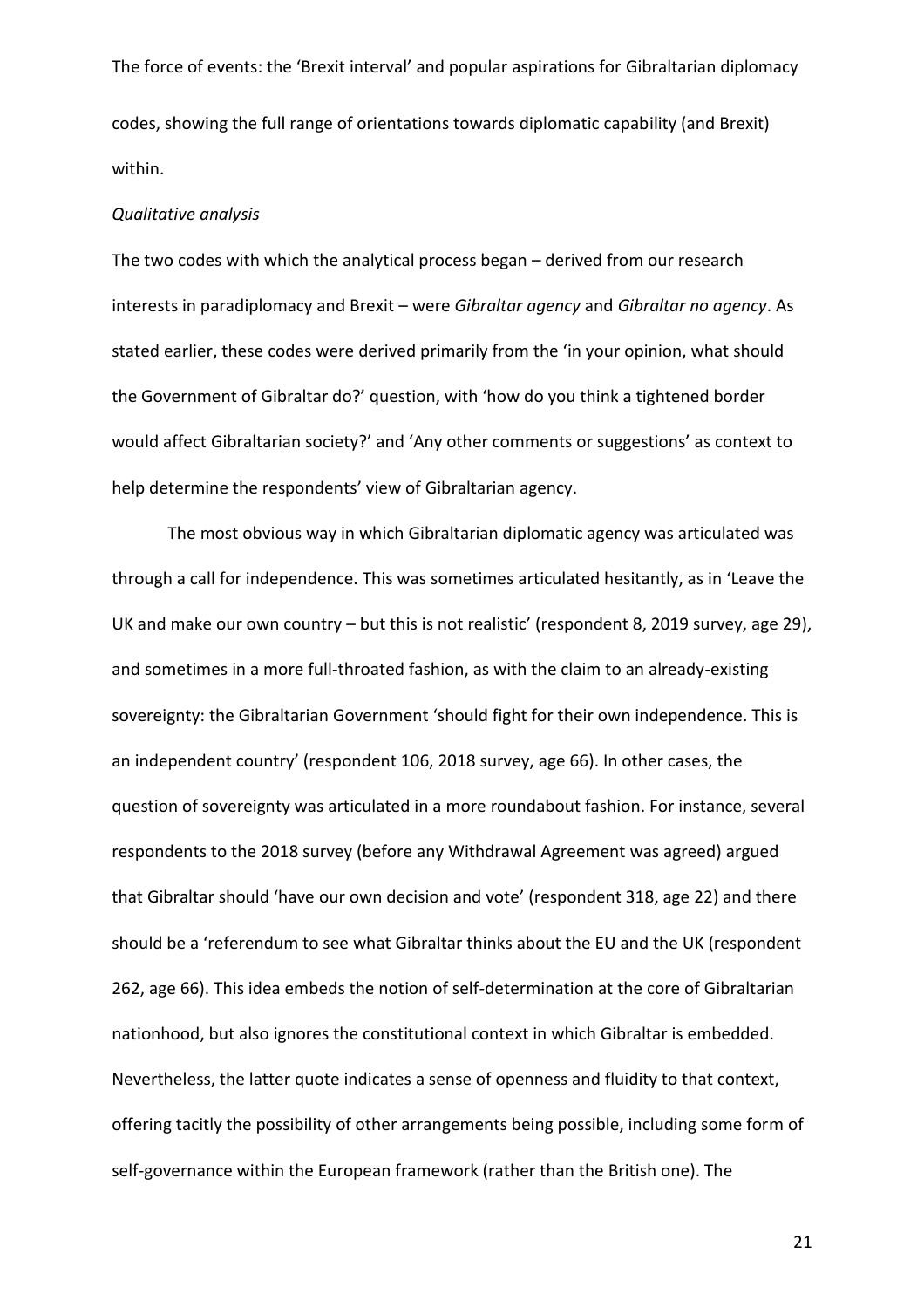The force of events: the 'Brexit interval' and popular aspirations for Gibraltarian diplomacy codes, showing the full range of orientations towards diplomatic capability (and Brexit) within.

#### *Qualitative analysis*

The two codes with which the analytical process began – derived from our research interests in paradiplomacy and Brexit – were *Gibraltar agency* and *Gibraltar no agency*. As stated earlier, these codes were derived primarily from the 'in your opinion, what should the Government of Gibraltar do?' question, with 'how do you think a tightened border would affect Gibraltarian society?' and 'Any other comments or suggestions' as context to help determine the respondents' view of Gibraltarian agency.

The most obvious way in which Gibraltarian diplomatic agency was articulated was through a call for independence. This was sometimes articulated hesitantly, as in 'Leave the UK and make our own country – but this is not realistic' (respondent 8, 2019 survey, age 29), and sometimes in a more full-throated fashion, as with the claim to an already-existing sovereignty: the Gibraltarian Government 'should fight for their own independence. This is an independent country' (respondent 106, 2018 survey, age 66). In other cases, the question of sovereignty was articulated in a more roundabout fashion. For instance, several respondents to the 2018 survey (before any Withdrawal Agreement was agreed) argued that Gibraltar should 'have our own decision and vote' (respondent 318, age 22) and there should be a 'referendum to see what Gibraltar thinks about the EU and the UK (respondent 262, age 66). This idea embeds the notion of self-determination at the core of Gibraltarian nationhood, but also ignores the constitutional context in which Gibraltar is embedded. Nevertheless, the latter quote indicates a sense of openness and fluidity to that context, offering tacitly the possibility of other arrangements being possible, including some form of self-governance within the European framework (rather than the British one). The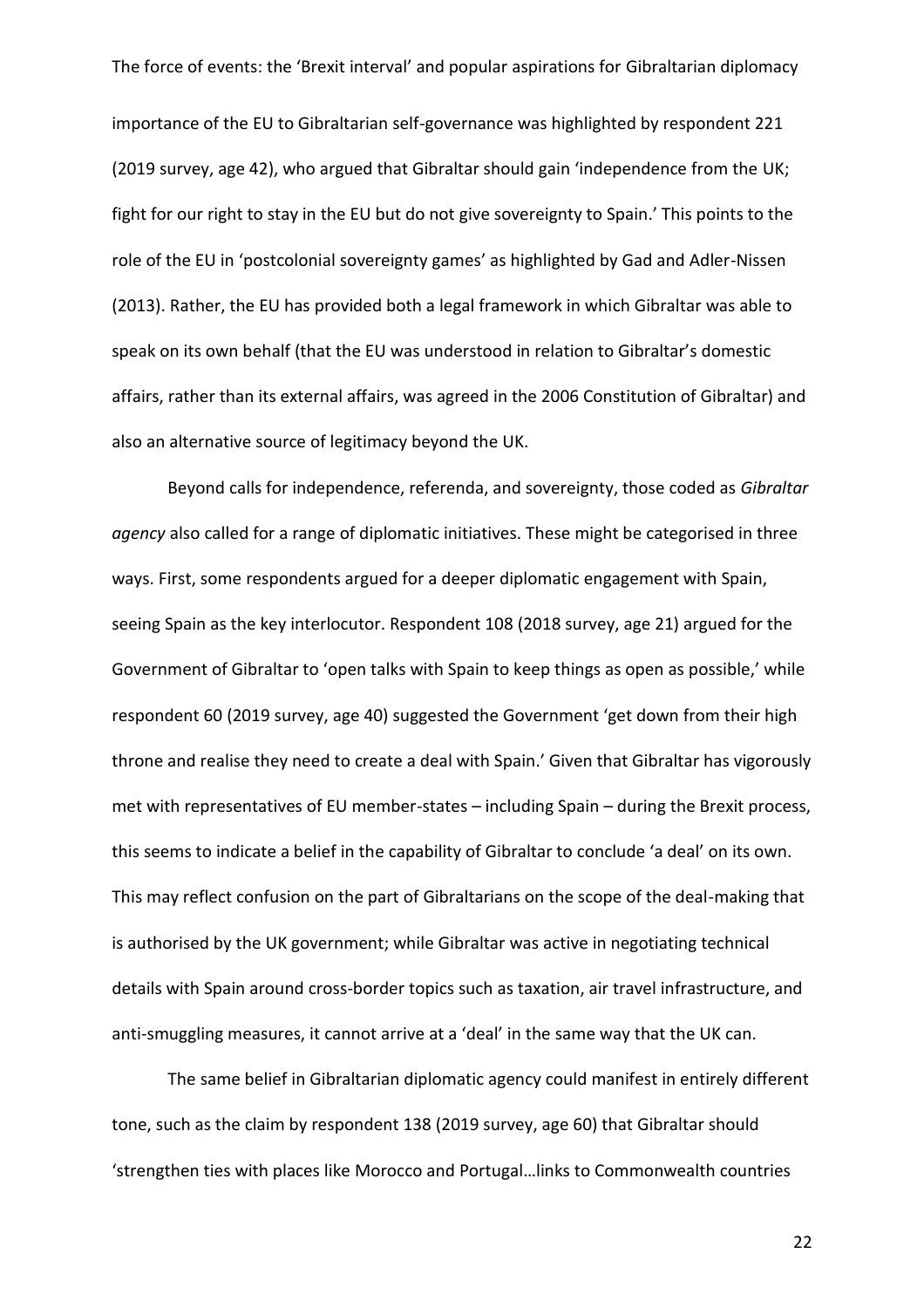importance of the EU to Gibraltarian self-governance was highlighted by respondent 221 (2019 survey, age 42), who argued that Gibraltar should gain 'independence from the UK; fight for our right to stay in the EU but do not give sovereignty to Spain.' This points to the role of the EU in 'postcolonial sovereignty games' as highlighted by Gad and Adler-Nissen (2013). Rather, the EU has provided both a legal framework in which Gibraltar was able to speak on its own behalf (that the EU was understood in relation to Gibraltar's domestic affairs, rather than its external affairs, was agreed in the 2006 Constitution of Gibraltar) and also an alternative source of legitimacy beyond the UK.

Beyond calls for independence, referenda, and sovereignty, those coded as *Gibraltar agency* also called for a range of diplomatic initiatives. These might be categorised in three ways. First, some respondents argued for a deeper diplomatic engagement with Spain, seeing Spain as the key interlocutor. Respondent 108 (2018 survey, age 21) argued for the Government of Gibraltar to 'open talks with Spain to keep things as open as possible,' while respondent 60 (2019 survey, age 40) suggested the Government 'get down from their high throne and realise they need to create a deal with Spain.' Given that Gibraltar has vigorously met with representatives of EU member-states – including Spain – during the Brexit process, this seems to indicate a belief in the capability of Gibraltar to conclude 'a deal' on its own. This may reflect confusion on the part of Gibraltarians on the scope of the deal-making that is authorised by the UK government; while Gibraltar was active in negotiating technical details with Spain around cross-border topics such as taxation, air travel infrastructure, and anti-smuggling measures, it cannot arrive at a 'deal' in the same way that the UK can.

The same belief in Gibraltarian diplomatic agency could manifest in entirely different tone, such as the claim by respondent 138 (2019 survey, age 60) that Gibraltar should 'strengthen ties with places like Morocco and Portugal…links to Commonwealth countries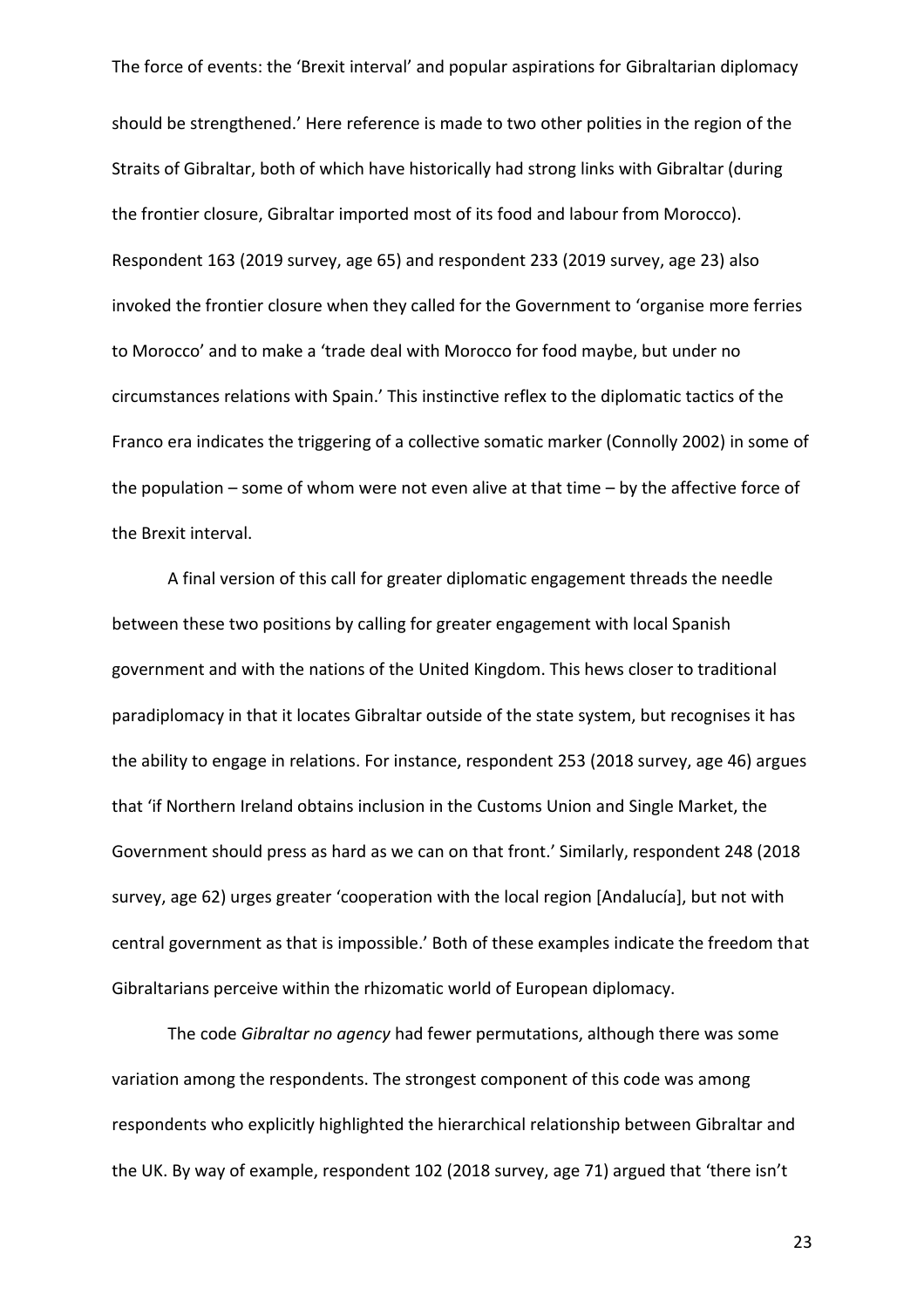The force of events: the 'Brexit interval' and popular aspirations for Gibraltarian diplomacy should be strengthened.' Here reference is made to two other polities in the region of the Straits of Gibraltar, both of which have historically had strong links with Gibraltar (during the frontier closure, Gibraltar imported most of its food and labour from Morocco). Respondent 163 (2019 survey, age 65) and respondent 233 (2019 survey, age 23) also invoked the frontier closure when they called for the Government to 'organise more ferries to Morocco' and to make a 'trade deal with Morocco for food maybe, but under no circumstances relations with Spain.' This instinctive reflex to the diplomatic tactics of the Franco era indicates the triggering of a collective somatic marker (Connolly 2002) in some of the population – some of whom were not even alive at that time – by the affective force of the Brexit interval.

A final version of this call for greater diplomatic engagement threads the needle between these two positions by calling for greater engagement with local Spanish government and with the nations of the United Kingdom. This hews closer to traditional paradiplomacy in that it locates Gibraltar outside of the state system, but recognises it has the ability to engage in relations. For instance, respondent 253 (2018 survey, age 46) argues that 'if Northern Ireland obtains inclusion in the Customs Union and Single Market, the Government should press as hard as we can on that front.' Similarly, respondent 248 (2018 survey, age 62) urges greater 'cooperation with the local region [Andalucía], but not with central government as that is impossible.' Both of these examples indicate the freedom that Gibraltarians perceive within the rhizomatic world of European diplomacy.

The code *Gibraltar no agency* had fewer permutations, although there was some variation among the respondents. The strongest component of this code was among respondents who explicitly highlighted the hierarchical relationship between Gibraltar and the UK. By way of example, respondent 102 (2018 survey, age 71) argued that 'there isn't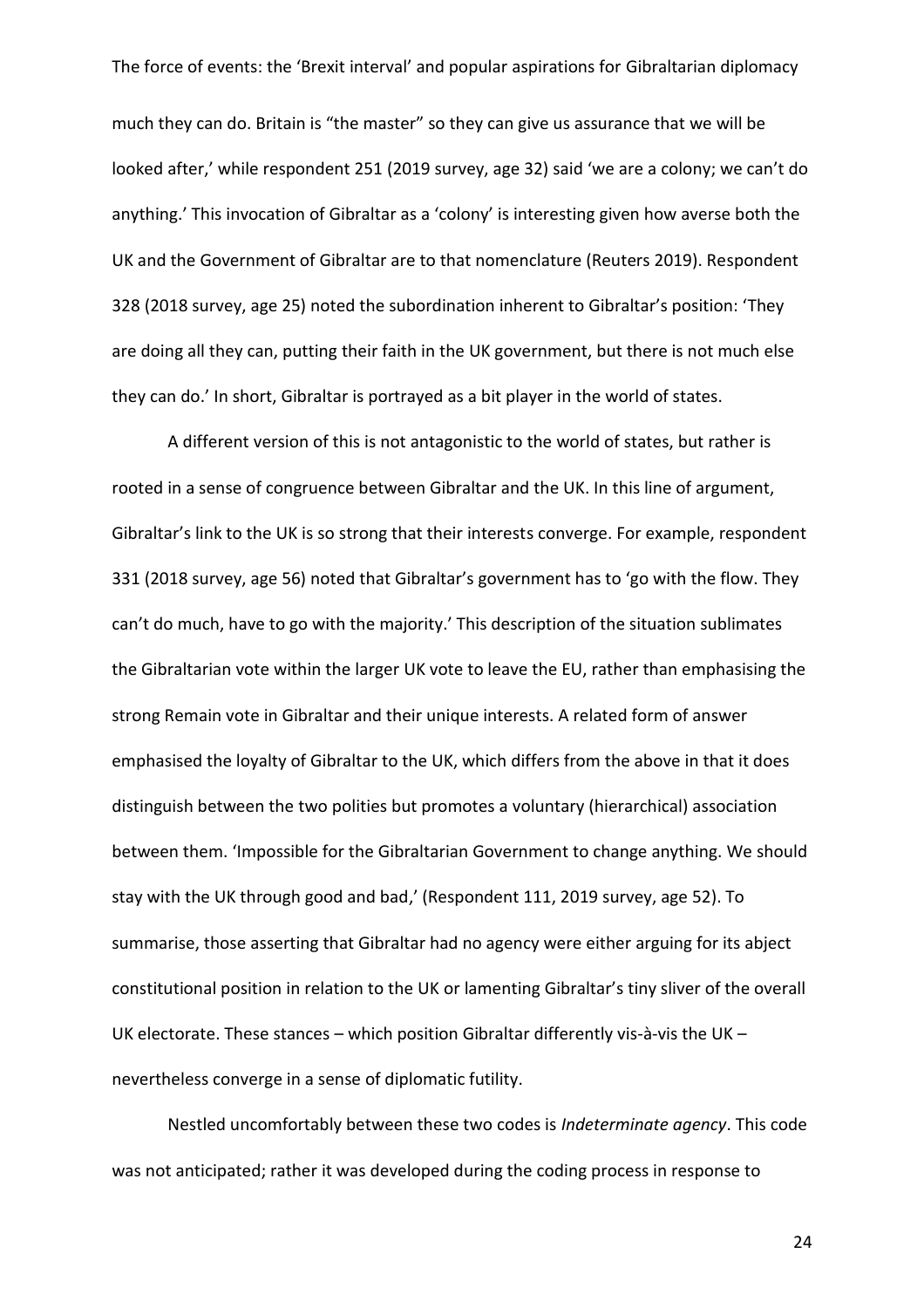much they can do. Britain is "the master" so they can give us assurance that we will be looked after,' while respondent 251 (2019 survey, age 32) said 'we are a colony; we can't do anything.' This invocation of Gibraltar as a 'colony' is interesting given how averse both the UK and the Government of Gibraltar are to that nomenclature (Reuters 2019). Respondent 328 (2018 survey, age 25) noted the subordination inherent to Gibraltar's position: 'They are doing all they can, putting their faith in the UK government, but there is not much else they can do.' In short, Gibraltar is portrayed as a bit player in the world of states.

A different version of this is not antagonistic to the world of states, but rather is rooted in a sense of congruence between Gibraltar and the UK. In this line of argument, Gibraltar's link to the UK is so strong that their interests converge. For example, respondent 331 (2018 survey, age 56) noted that Gibraltar's government has to 'go with the flow. They can't do much, have to go with the majority.' This description of the situation sublimates the Gibraltarian vote within the larger UK vote to leave the EU, rather than emphasising the strong Remain vote in Gibraltar and their unique interests. A related form of answer emphasised the loyalty of Gibraltar to the UK, which differs from the above in that it does distinguish between the two polities but promotes a voluntary (hierarchical) association between them. 'Impossible for the Gibraltarian Government to change anything. We should stay with the UK through good and bad,' (Respondent 111, 2019 survey, age 52). To summarise, those asserting that Gibraltar had no agency were either arguing for its abject constitutional position in relation to the UK or lamenting Gibraltar's tiny sliver of the overall UK electorate. These stances – which position Gibraltar differently vis-à-vis the UK – nevertheless converge in a sense of diplomatic futility.

Nestled uncomfortably between these two codes is *Indeterminate agency*. This code was not anticipated; rather it was developed during the coding process in response to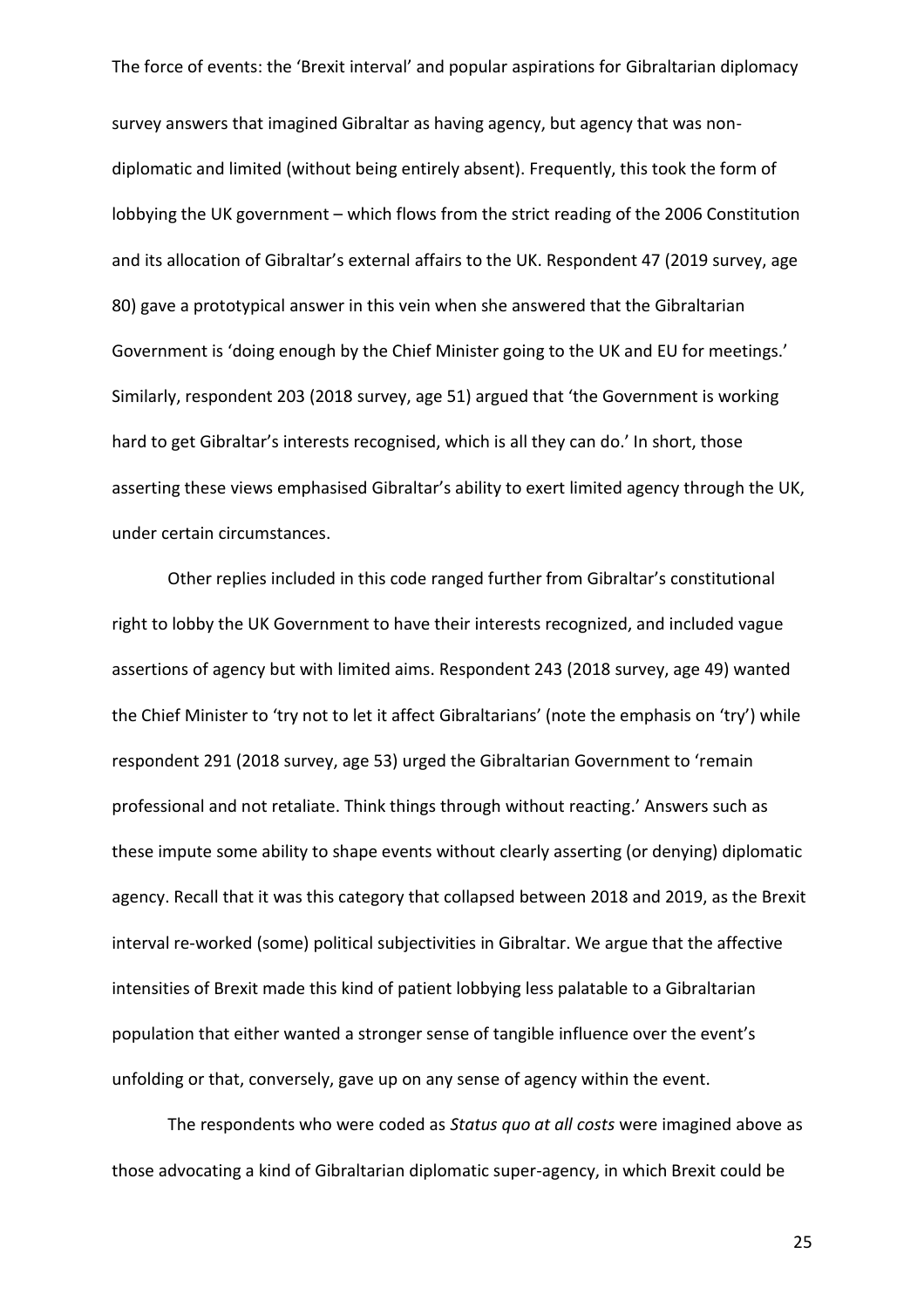survey answers that imagined Gibraltar as having agency, but agency that was nondiplomatic and limited (without being entirely absent). Frequently, this took the form of lobbying the UK government – which flows from the strict reading of the 2006 Constitution and its allocation of Gibraltar's external affairs to the UK. Respondent 47 (2019 survey, age 80) gave a prototypical answer in this vein when she answered that the Gibraltarian Government is 'doing enough by the Chief Minister going to the UK and EU for meetings.' Similarly, respondent 203 (2018 survey, age 51) argued that 'the Government is working hard to get Gibraltar's interests recognised, which is all they can do.' In short, those asserting these views emphasised Gibraltar's ability to exert limited agency through the UK, under certain circumstances.

Other replies included in this code ranged further from Gibraltar's constitutional right to lobby the UK Government to have their interests recognized, and included vague assertions of agency but with limited aims. Respondent 243 (2018 survey, age 49) wanted the Chief Minister to 'try not to let it affect Gibraltarians' (note the emphasis on 'try') while respondent 291 (2018 survey, age 53) urged the Gibraltarian Government to 'remain professional and not retaliate. Think things through without reacting.' Answers such as these impute some ability to shape events without clearly asserting (or denying) diplomatic agency. Recall that it was this category that collapsed between 2018 and 2019, as the Brexit interval re-worked (some) political subjectivities in Gibraltar. We argue that the affective intensities of Brexit made this kind of patient lobbying less palatable to a Gibraltarian population that either wanted a stronger sense of tangible influence over the event's unfolding or that, conversely, gave up on any sense of agency within the event.

The respondents who were coded as *Status quo at all costs* were imagined above as those advocating a kind of Gibraltarian diplomatic super-agency, in which Brexit could be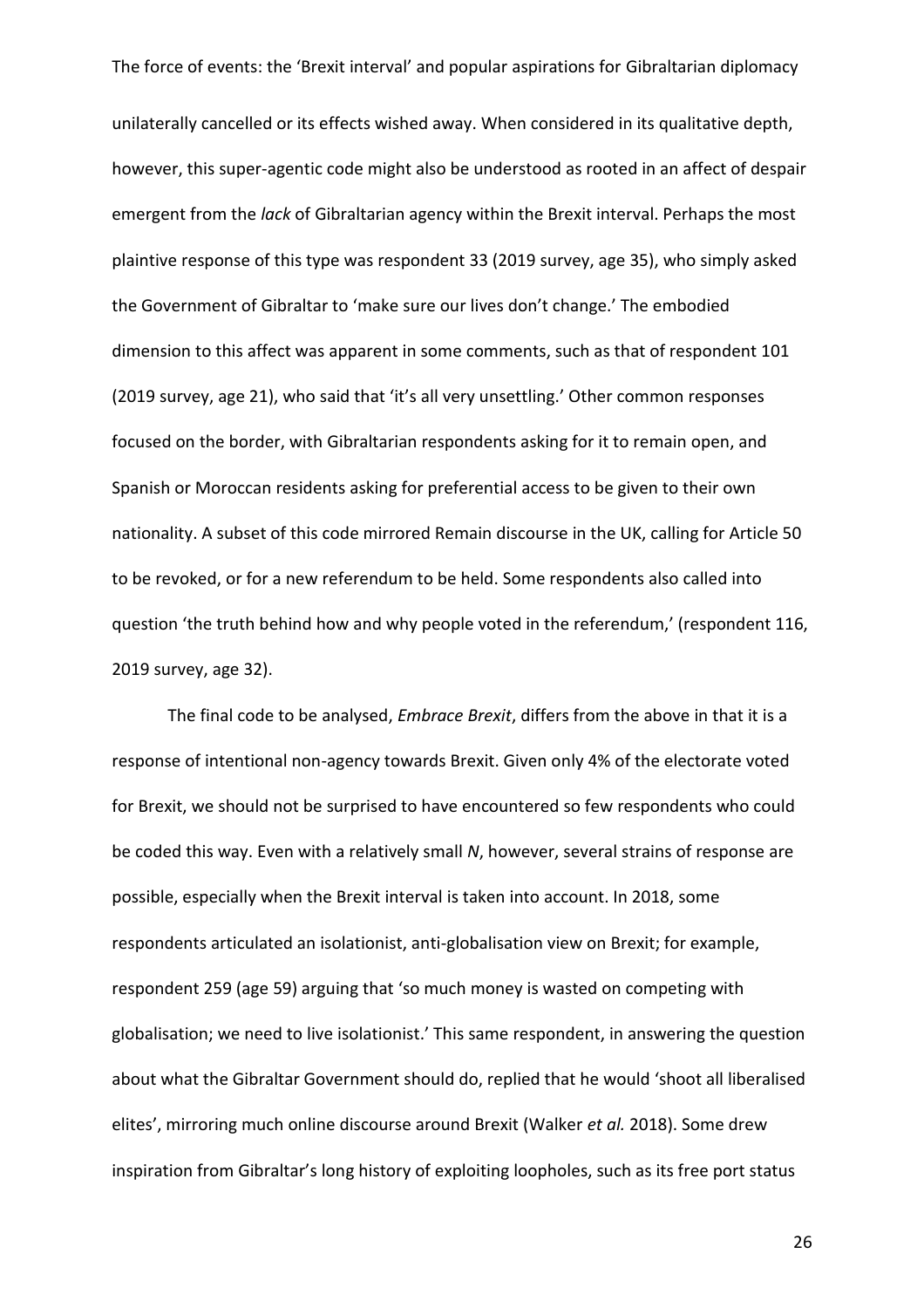unilaterally cancelled or its effects wished away. When considered in its qualitative depth, however, this super-agentic code might also be understood as rooted in an affect of despair emergent from the *lack* of Gibraltarian agency within the Brexit interval. Perhaps the most plaintive response of this type was respondent 33 (2019 survey, age 35), who simply asked the Government of Gibraltar to 'make sure our lives don't change.' The embodied dimension to this affect was apparent in some comments, such as that of respondent 101 (2019 survey, age 21), who said that 'it's all very unsettling.' Other common responses focused on the border, with Gibraltarian respondents asking for it to remain open, and Spanish or Moroccan residents asking for preferential access to be given to their own nationality. A subset of this code mirrored Remain discourse in the UK, calling for Article 50 to be revoked, or for a new referendum to be held. Some respondents also called into question 'the truth behind how and why people voted in the referendum,' (respondent 116, 2019 survey, age 32).

The final code to be analysed, *Embrace Brexit*, differs from the above in that it is a response of intentional non-agency towards Brexit. Given only 4% of the electorate voted for Brexit, we should not be surprised to have encountered so few respondents who could be coded this way. Even with a relatively small *N*, however, several strains of response are possible, especially when the Brexit interval is taken into account. In 2018, some respondents articulated an isolationist, anti-globalisation view on Brexit; for example, respondent 259 (age 59) arguing that 'so much money is wasted on competing with globalisation; we need to live isolationist.' This same respondent, in answering the question about what the Gibraltar Government should do, replied that he would 'shoot all liberalised elites', mirroring much online discourse around Brexit (Walker *et al.* 2018). Some drew inspiration from Gibraltar's long history of exploiting loopholes, such as its free port status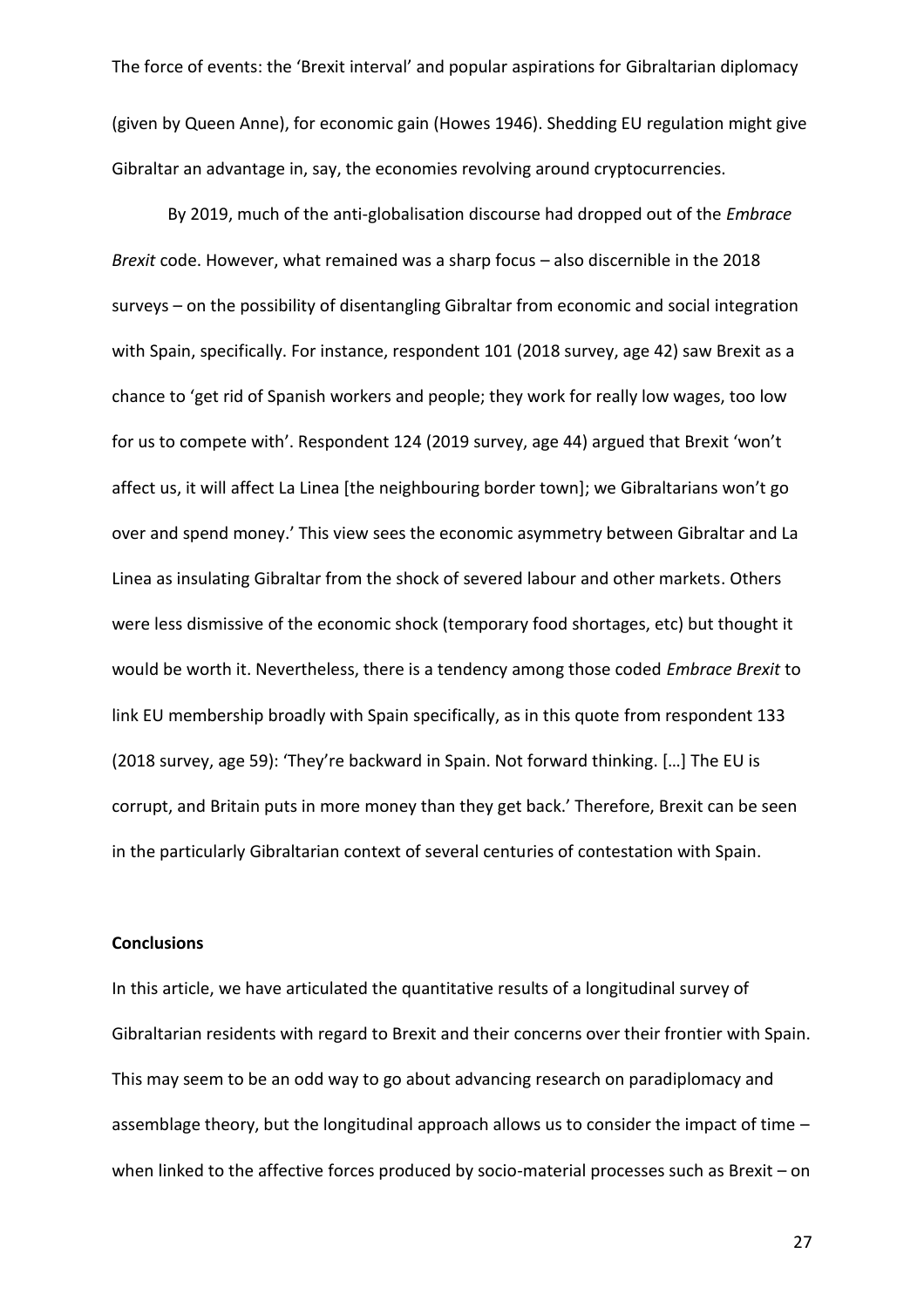The force of events: the 'Brexit interval' and popular aspirations for Gibraltarian diplomacy (given by Queen Anne), for economic gain (Howes 1946). Shedding EU regulation might give Gibraltar an advantage in, say, the economies revolving around cryptocurrencies.

By 2019, much of the anti-globalisation discourse had dropped out of the *Embrace Brexit* code. However, what remained was a sharp focus – also discernible in the 2018 surveys – on the possibility of disentangling Gibraltar from economic and social integration with Spain, specifically. For instance, respondent 101 (2018 survey, age 42) saw Brexit as a chance to 'get rid of Spanish workers and people; they work for really low wages, too low for us to compete with'. Respondent 124 (2019 survey, age 44) argued that Brexit 'won't affect us, it will affect La Linea [the neighbouring border town]; we Gibraltarians won't go over and spend money.' This view sees the economic asymmetry between Gibraltar and La Linea as insulating Gibraltar from the shock of severed labour and other markets. Others were less dismissive of the economic shock (temporary food shortages, etc) but thought it would be worth it. Nevertheless, there is a tendency among those coded *Embrace Brexit* to link EU membership broadly with Spain specifically, as in this quote from respondent 133 (2018 survey, age 59): 'They're backward in Spain. Not forward thinking. […] The EU is corrupt, and Britain puts in more money than they get back.' Therefore, Brexit can be seen in the particularly Gibraltarian context of several centuries of contestation with Spain.

# **Conclusions**

In this article, we have articulated the quantitative results of a longitudinal survey of Gibraltarian residents with regard to Brexit and their concerns over their frontier with Spain. This may seem to be an odd way to go about advancing research on paradiplomacy and assemblage theory, but the longitudinal approach allows us to consider the impact of time – when linked to the affective forces produced by socio-material processes such as Brexit – on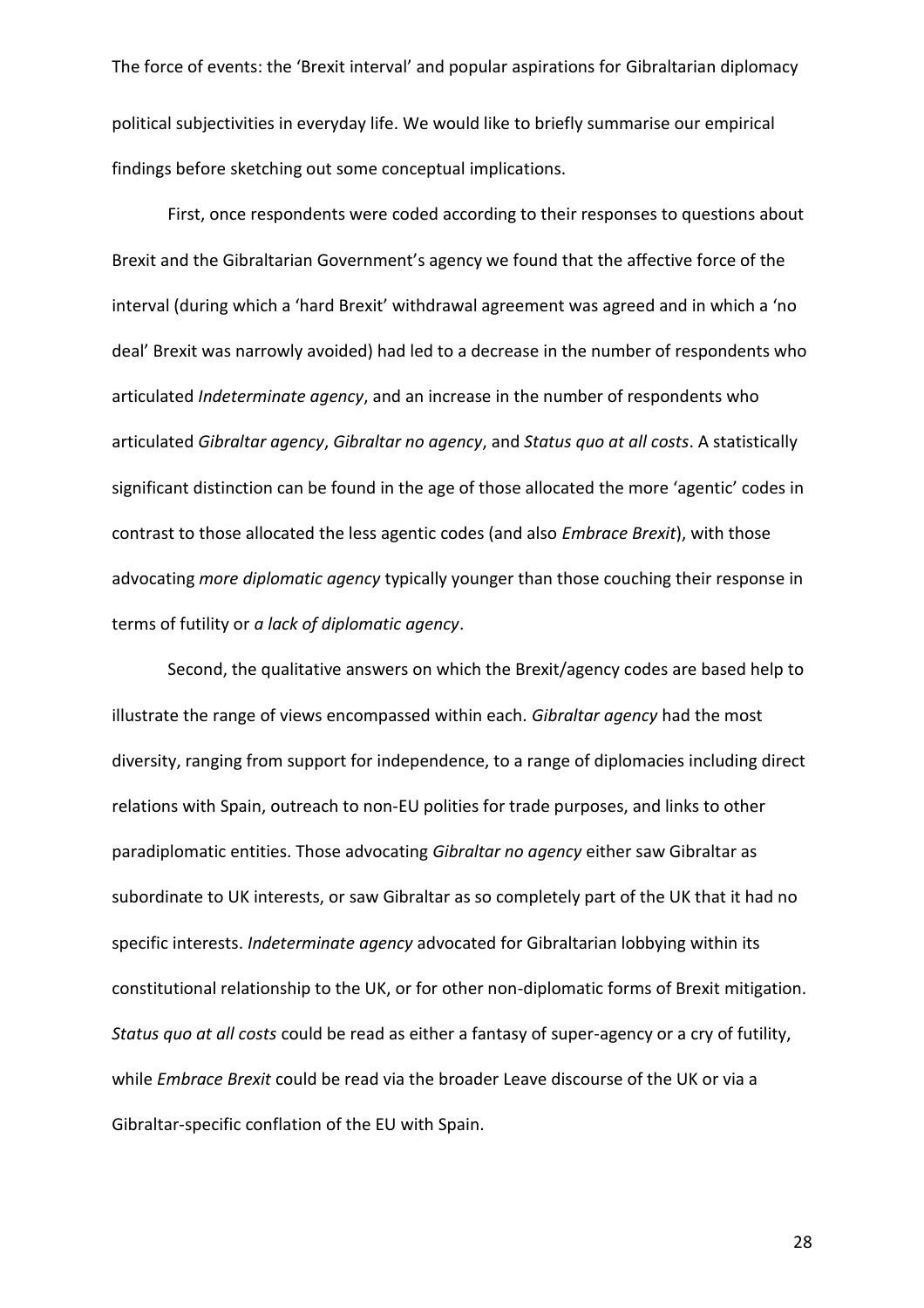The force of events: the 'Brexit interval' and popular aspirations for Gibraltarian diplomacy political subjectivities in everyday life. We would like to briefly summarise our empirical findings before sketching out some conceptual implications.

First, once respondents were coded according to their responses to questions about Brexit and the Gibraltarian Government's agency we found that the affective force of the interval (during which a 'hard Brexit' withdrawal agreement was agreed and in which a 'no deal' Brexit was narrowly avoided) had led to a decrease in the number of respondents who articulated *Indeterminate agency*, and an increase in the number of respondents who articulated *Gibraltar agency*, *Gibraltar no agency*, and *Status quo at all costs*. A statistically significant distinction can be found in the age of those allocated the more 'agentic' codes in contrast to those allocated the less agentic codes (and also *Embrace Brexit*), with those advocating *more diplomatic agency* typically younger than those couching their response in terms of futility or *a lack of diplomatic agency*.

Second, the qualitative answers on which the Brexit/agency codes are based help to illustrate the range of views encompassed within each. *Gibraltar agency* had the most diversity, ranging from support for independence, to a range of diplomacies including direct relations with Spain, outreach to non-EU polities for trade purposes, and links to other paradiplomatic entities. Those advocating *Gibraltar no agency* either saw Gibraltar as subordinate to UK interests, or saw Gibraltar as so completely part of the UK that it had no specific interests. *Indeterminate agency* advocated for Gibraltarian lobbying within its constitutional relationship to the UK, or for other non-diplomatic forms of Brexit mitigation. *Status quo at all costs* could be read as either a fantasy of super-agency or a cry of futility, while *Embrace Brexit* could be read via the broader Leave discourse of the UK or via a Gibraltar-specific conflation of the EU with Spain.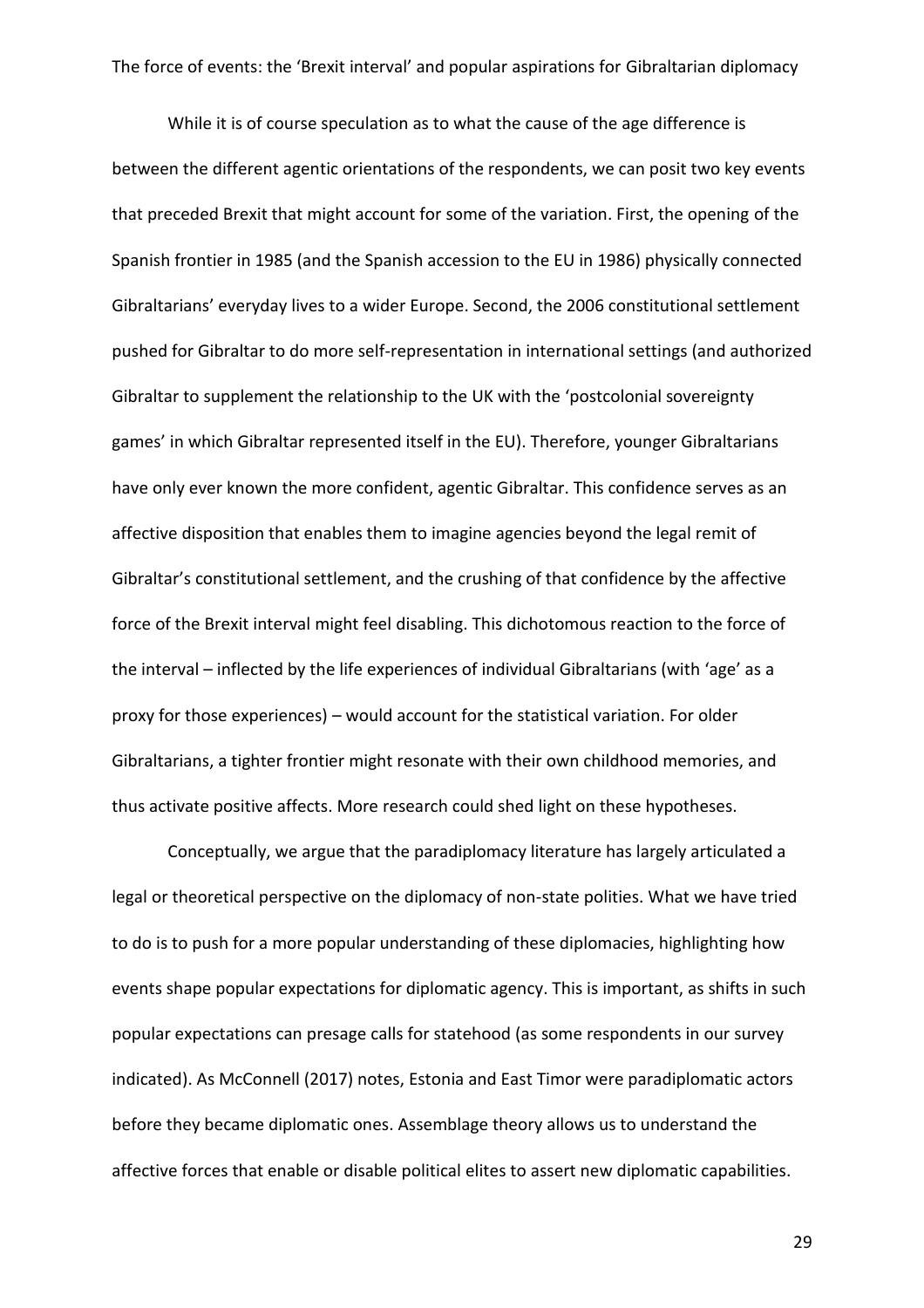While it is of course speculation as to what the cause of the age difference is between the different agentic orientations of the respondents, we can posit two key events that preceded Brexit that might account for some of the variation. First, the opening of the Spanish frontier in 1985 (and the Spanish accession to the EU in 1986) physically connected Gibraltarians' everyday lives to a wider Europe. Second, the 2006 constitutional settlement pushed for Gibraltar to do more self-representation in international settings (and authorized Gibraltar to supplement the relationship to the UK with the 'postcolonial sovereignty games' in which Gibraltar represented itself in the EU). Therefore, younger Gibraltarians have only ever known the more confident, agentic Gibraltar. This confidence serves as an affective disposition that enables them to imagine agencies beyond the legal remit of Gibraltar's constitutional settlement, and the crushing of that confidence by the affective force of the Brexit interval might feel disabling. This dichotomous reaction to the force of the interval – inflected by the life experiences of individual Gibraltarians (with 'age' as a proxy for those experiences) – would account for the statistical variation. For older Gibraltarians, a tighter frontier might resonate with their own childhood memories, and thus activate positive affects. More research could shed light on these hypotheses.

Conceptually, we argue that the paradiplomacy literature has largely articulated a legal or theoretical perspective on the diplomacy of non-state polities. What we have tried to do is to push for a more popular understanding of these diplomacies, highlighting how events shape popular expectations for diplomatic agency. This is important, as shifts in such popular expectations can presage calls for statehood (as some respondents in our survey indicated). As McConnell (2017) notes, Estonia and East Timor were paradiplomatic actors before they became diplomatic ones. Assemblage theory allows us to understand the affective forces that enable or disable political elites to assert new diplomatic capabilities.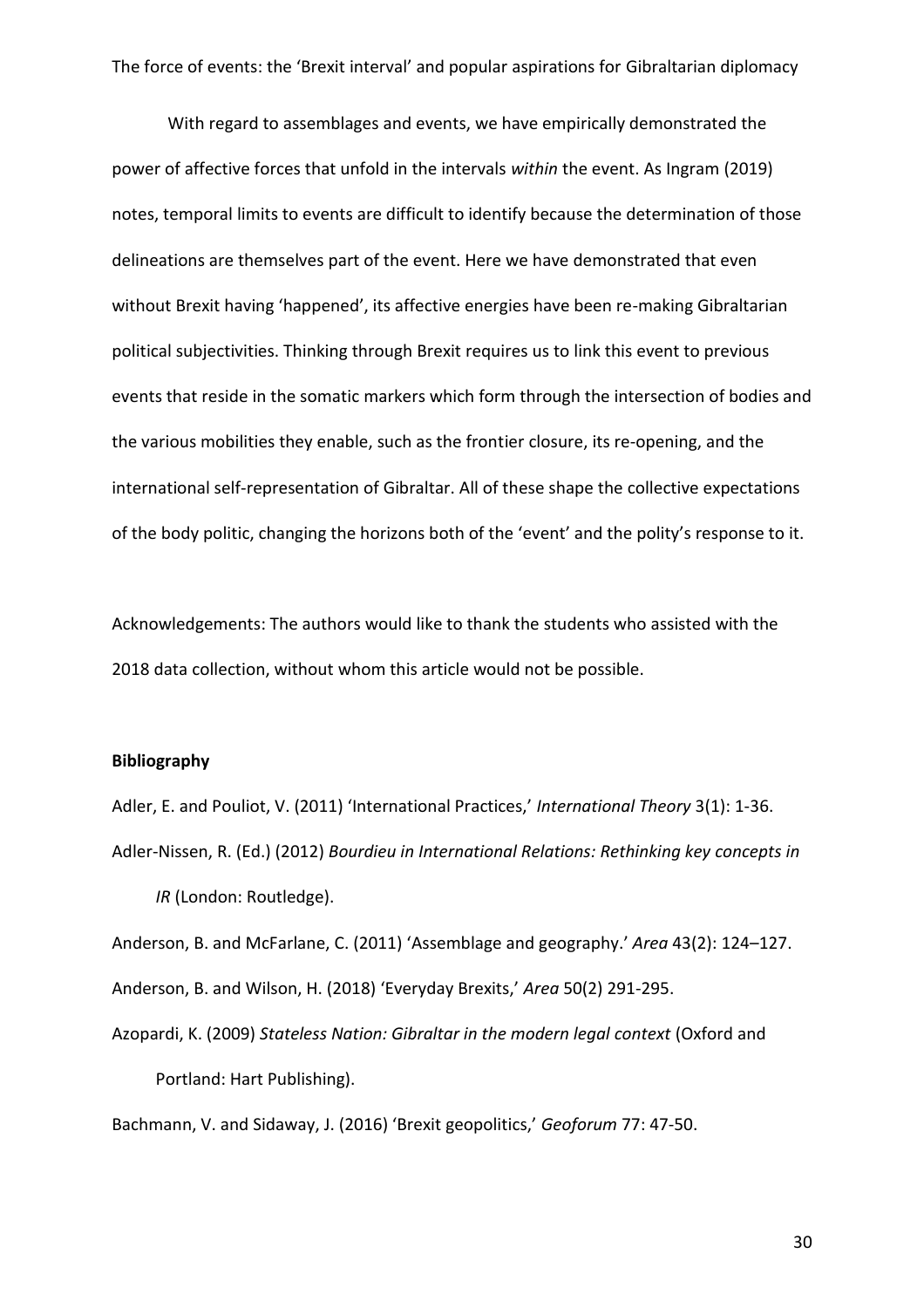With regard to assemblages and events, we have empirically demonstrated the power of affective forces that unfold in the intervals *within* the event. As Ingram (2019) notes, temporal limits to events are difficult to identify because the determination of those delineations are themselves part of the event. Here we have demonstrated that even without Brexit having 'happened', its affective energies have been re-making Gibraltarian political subjectivities. Thinking through Brexit requires us to link this event to previous events that reside in the somatic markers which form through the intersection of bodies and the various mobilities they enable, such as the frontier closure, its re-opening, and the international self-representation of Gibraltar. All of these shape the collective expectations of the body politic, changing the horizons both of the 'event' and the polity's response to it.

Acknowledgements: The authors would like to thank the students who assisted with the 2018 data collection, without whom this article would not be possible.

# **Bibliography**

Adler, E. and Pouliot, V. (2011) 'International Practices,' *International Theory* 3(1): 1-36. Adler-Nissen, R. (Ed.) (2012) *Bourdieu in International Relations: Rethinking key concepts in IR* (London: Routledge).

Anderson, B. and McFarlane, C. (2011) 'Assemblage and geography.' *Area* 43(2): 124–127. Anderson, B. and Wilson, H. (2018) 'Everyday Brexits,' *Area* 50(2) 291-295.

Azopardi, K. (2009) *Stateless Nation: Gibraltar in the modern legal context* (Oxford and Portland: Hart Publishing).

Bachmann, V. and Sidaway, J. (2016) 'Brexit geopolitics,' *Geoforum* 77: 47-50.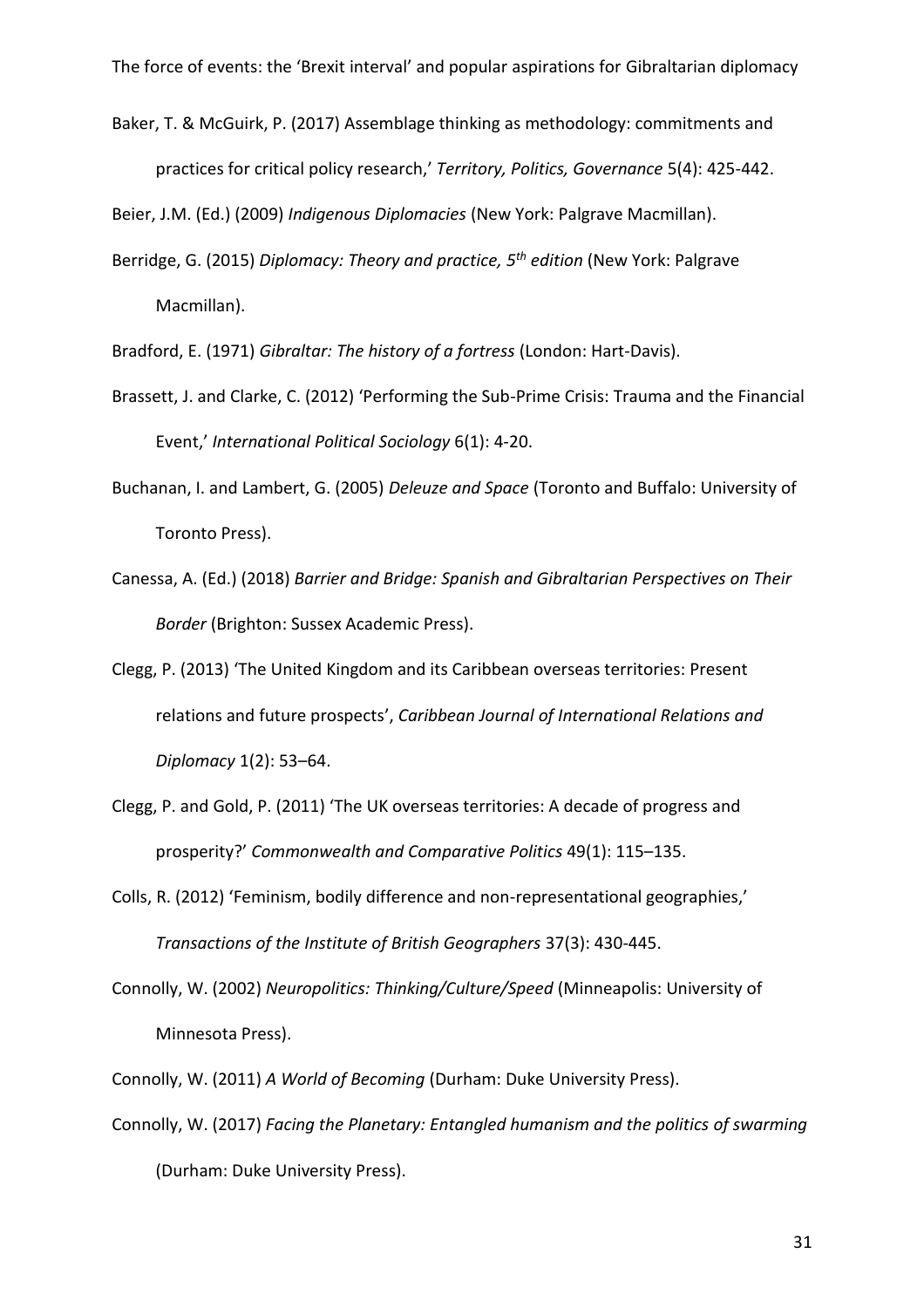Baker, T. & McGuirk, P. (2017) Assemblage thinking as methodology: commitments and practices for critical policy research,' *Territory, Politics, Governance* 5(4): 425-442.

Beier, J.M. (Ed.) (2009) *Indigenous Diplomacies* (New York: Palgrave Macmillan).

Berridge, G. (2015) *Diplomacy: Theory and practice, 5 th edition* (New York: Palgrave Macmillan).

Bradford, E. (1971) *Gibraltar: The history of a fortress* (London: Hart-Davis).

- Brassett, J. and Clarke, C. (2012) 'Performing the Sub-Prime Crisis: Trauma and the Financial Event,' *International Political Sociology* 6(1): 4-20.
- Buchanan, I. and Lambert, G. (2005) *Deleuze and Space* (Toronto and Buffalo: University of Toronto Press).
- Canessa, A. (Ed.) (2018) *Barrier and Bridge: Spanish and Gibraltarian Perspectives on Their Border* (Brighton: Sussex Academic Press).
- Clegg, P. (2013) 'The United Kingdom and its Caribbean overseas territories: Present relations and future prospects', *Caribbean Journal of International Relations and Diplomacy* 1(2): 53–64.
- Clegg, P. and Gold, P. (2011) 'The UK overseas territories: A decade of progress and prosperity?' *Commonwealth and Comparative Politics* 49(1): 115–135.
- Colls, R. (2012) 'Feminism, bodily difference and non-representational geographies,' *Transactions of the Institute of British Geographers* 37(3): 430-445.
- Connolly, W. (2002) *Neuropolitics: Thinking/Culture/Speed* (Minneapolis: University of Minnesota Press).
- Connolly, W. (2011) *A World of Becoming* (Durham: Duke University Press).
- Connolly, W. (2017) *Facing the Planetary: Entangled humanism and the politics of swarming* (Durham: Duke University Press).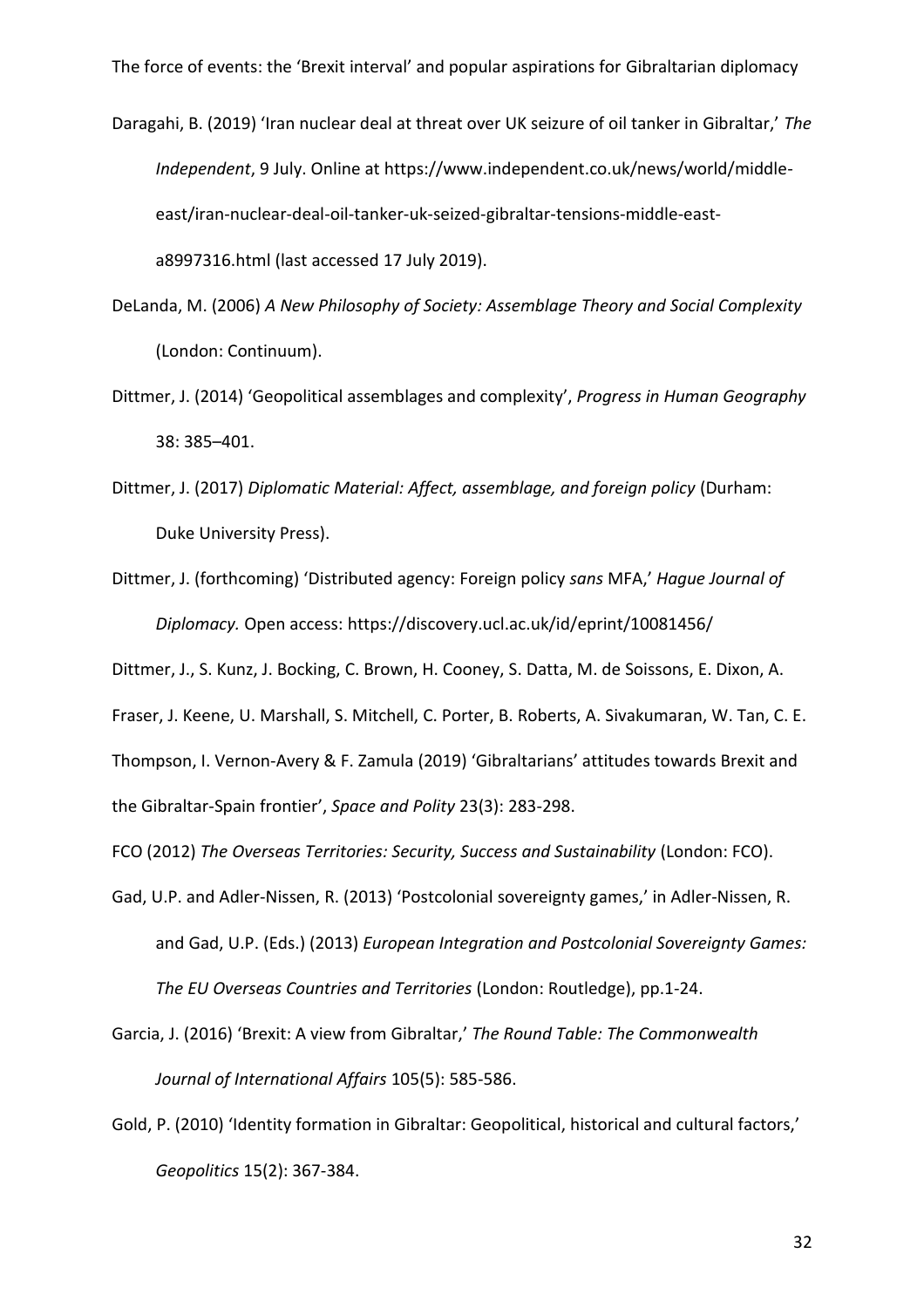Daragahi, B. (2019) 'Iran nuclear deal at threat over UK seizure of oil tanker in Gibraltar,' *The Independent*, 9 July. Online at https://www.independent.co.uk/news/world/middleeast/iran-nuclear-deal-oil-tanker-uk-seized-gibraltar-tensions-middle-easta8997316.html (last accessed 17 July 2019).

- DeLanda, M. (2006) *A New Philosophy of Society: Assemblage Theory and Social Complexity* (London: Continuum).
- Dittmer, J. (2014) 'Geopolitical assemblages and complexity', *Progress in Human Geography* 38: 385–401.
- Dittmer, J. (2017) *Diplomatic Material: Affect, assemblage, and foreign policy* (Durham: Duke University Press).
- Dittmer, J. (forthcoming) 'Distributed agency: Foreign policy *sans* MFA,' *Hague Journal of Diplomacy.* Open access: https://discovery.ucl.ac.uk/id/eprint/10081456/

Dittmer, J., S. Kunz, J. Bocking, C. Brown, H. Cooney, S. Datta, M. de Soissons, E. Dixon, A. Fraser, J. Keene, U. Marshall, S. Mitchell, C. Porter, B. Roberts, A. Sivakumaran, W. Tan, C. E.

Thompson, I. Vernon-Avery & F. Zamula (2019) 'Gibraltarians' attitudes towards Brexit and the Gibraltar-Spain frontier', *Space and Polity* 23(3): 283-298.

FCO (2012) *The Overseas Territories: Security, Success and Sustainability* (London: FCO).

- Gad, U.P. and Adler-Nissen, R. (2013) 'Postcolonial sovereignty games,' in Adler-Nissen, R. and Gad, U.P. (Eds.) (2013) *European Integration and Postcolonial Sovereignty Games: The EU Overseas Countries and Territories* (London: Routledge), pp.1-24.
- Garcia, J. (2016) 'Brexit: A view from Gibraltar,' *The Round Table: The Commonwealth Journal of International Affairs* 105(5): 585-586.
- Gold, P. (2010) 'Identity formation in Gibraltar: Geopolitical, historical and cultural factors,' *Geopolitics* 15(2): 367-384.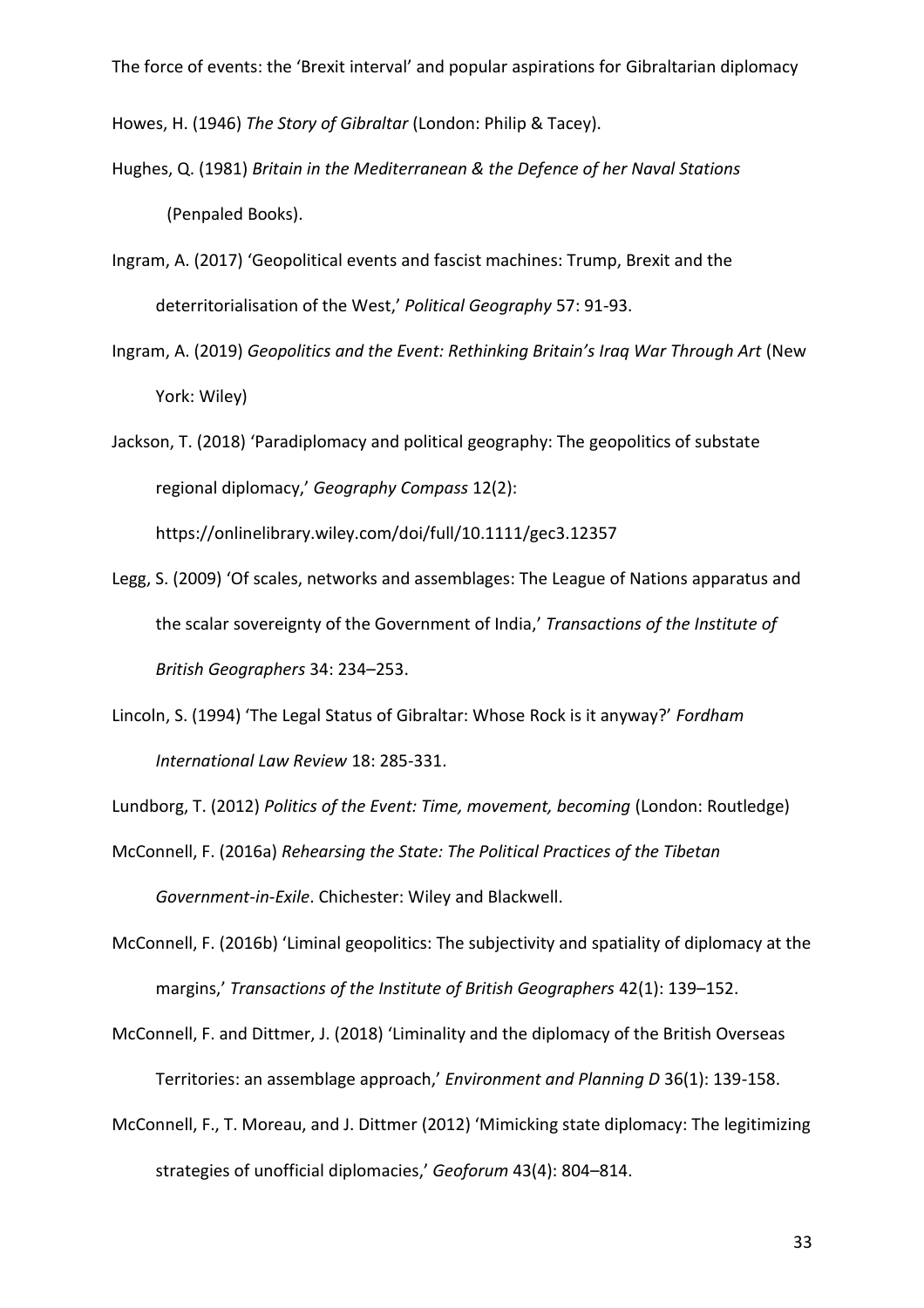Howes, H. (1946) *The Story of Gibraltar* (London: Philip & Tacey).

- Hughes, Q. (1981) *Britain in the Mediterranean & the Defence of her Naval Stations* (Penpaled Books).
- Ingram, A. (2017) 'Geopolitical events and fascist machines: Trump, Brexit and the deterritorialisation of the West,' *Political Geography* 57: 91-93.
- Ingram, A. (2019) *Geopolitics and the Event: Rethinking Britain's Iraq War Through Art* (New York: Wiley)
- Jackson, T. (2018) 'Paradiplomacy and political geography: The geopolitics of substate regional diplomacy,' *Geography Compass* 12(2):

https://onlinelibrary.wiley.com/doi/full/10.1111/gec3.12357

- Legg, S. (2009) 'Of scales, networks and assemblages: The League of Nations apparatus and the scalar sovereignty of the Government of India,' *Transactions of the Institute of British Geographers* 34: 234–253.
- Lincoln, S. (1994) 'The Legal Status of Gibraltar: Whose Rock is it anyway?' *Fordham International Law Review* 18: 285-331.

Lundborg, T. (2012) *Politics of the Event: Time, movement, becoming* (London: Routledge)

McConnell, F. (2016a) *Rehearsing the State: The Political Practices of the Tibetan Government-in-Exile*. Chichester: Wiley and Blackwell.

McConnell, F. (2016b) 'Liminal geopolitics: The subjectivity and spatiality of diplomacy at the margins,' *Transactions of the Institute of British Geographers* 42(1): 139–152.

McConnell, F. and Dittmer, J. (2018) 'Liminality and the diplomacy of the British Overseas Territories: an assemblage approach,' *Environment and Planning D* 36(1): 139-158.

McConnell, F., T. Moreau, and J. Dittmer (2012) 'Mimicking state diplomacy: The legitimizing strategies of unofficial diplomacies,' *Geoforum* 43(4): 804–814.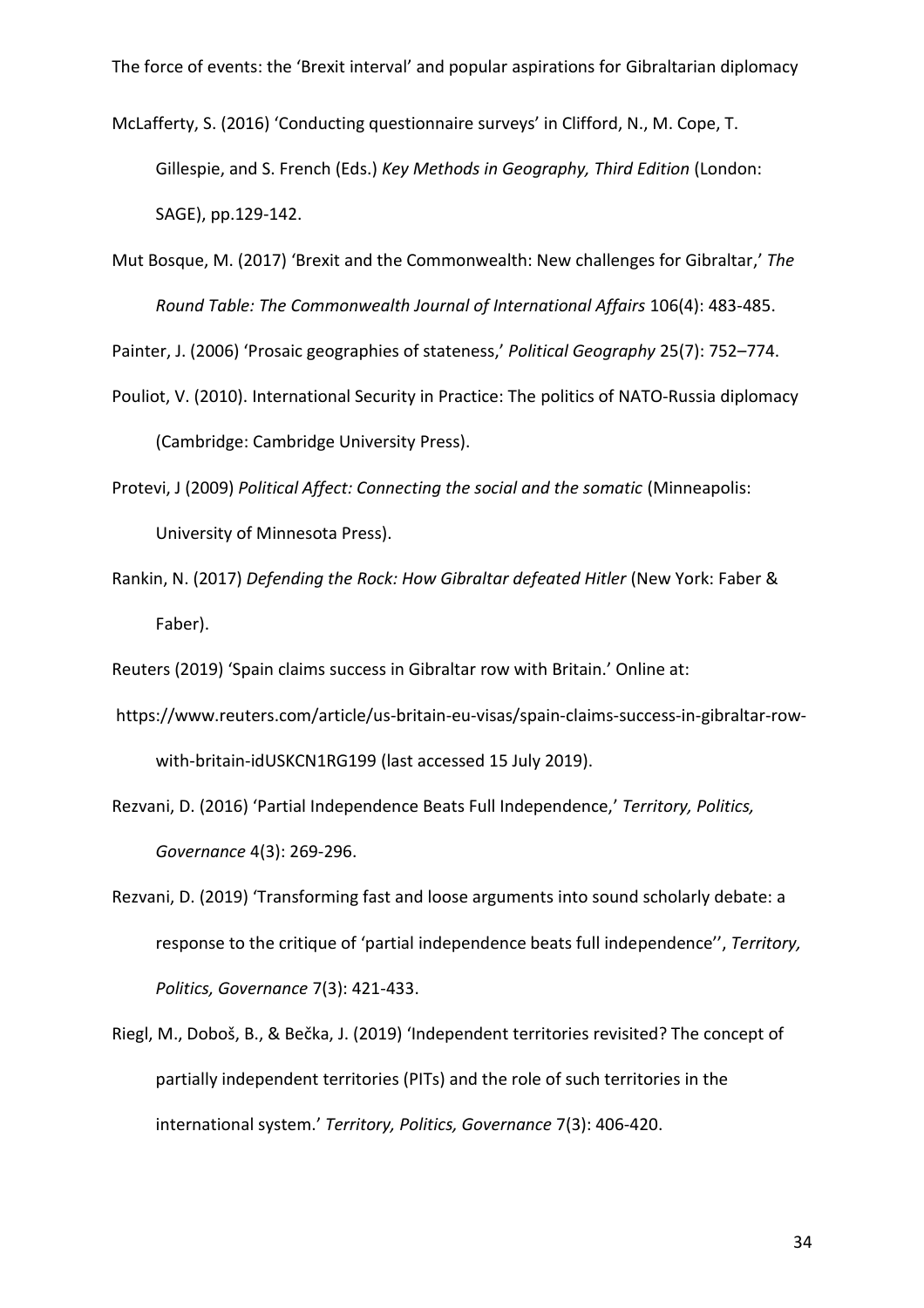McLafferty, S. (2016) 'Conducting questionnaire surveys' in Clifford, N., M. Cope, T. Gillespie, and S. French (Eds.) *Key Methods in Geography, Third Edition* (London: SAGE), pp.129-142.

Mut Bosque, M. (2017) 'Brexit and the Commonwealth: New challenges for Gibraltar,' *The Round Table: The Commonwealth Journal of International Affairs* 106(4): 483-485.

Painter, J. (2006) 'Prosaic geographies of stateness,' *Political Geography* 25(7): 752–774.

- Pouliot, V. (2010). International Security in Practice: The politics of NATO‐Russia diplomacy (Cambridge: Cambridge University Press).
- Protevi, J (2009) *Political Affect: Connecting the social and the somatic* (Minneapolis: University of Minnesota Press).
- Rankin, N. (2017) *Defending the Rock: How Gibraltar defeated Hitler* (New York: Faber & Faber).

Reuters (2019) 'Spain claims success in Gibraltar row with Britain.' Online at:

- https://www.reuters.com/article/us-britain-eu-visas/spain-claims-success-in-gibraltar-rowwith-britain-idUSKCN1RG199 (last accessed 15 July 2019).
- Rezvani, D. (2016) 'Partial Independence Beats Full Independence,' *Territory, Politics, Governance* 4(3): 269-296.
- Rezvani, D. (2019) 'Transforming fast and loose arguments into sound scholarly debate: a response to the critique of 'partial independence beats full independence'', *Territory, Politics, Governance* 7(3): 421-433.
- Riegl, M., Doboš, B., & Bečka, J. (2019) 'Independent territories revisited? The concept of partially independent territories (PITs) and the role of such territories in the international system.' *Territory, Politics, Governance* 7(3): 406-420.